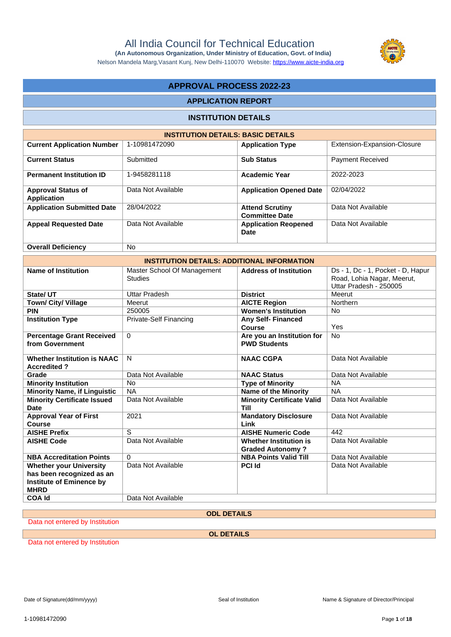Nelson Mandela Marg,Vasant Kunj, New Delhi-110070 Website:<https://www.aicte-india.org>



## **APPROVAL PROCESS 2022-23**

#### **APPLICATION REPORT**

#### **INSTITUTION DETAILS**

| <b>INSTITUTION DETAILS: BASIC DETAILS</b> |                    |                                                 |                             |  |  |  |
|-------------------------------------------|--------------------|-------------------------------------------------|-----------------------------|--|--|--|
| <b>Current Application Number</b>         | 1-10981472090      | <b>Application Type</b>                         | Extension-Expansion-Closure |  |  |  |
| <b>Current Status</b>                     | Submitted          | <b>Sub Status</b>                               | <b>Payment Received</b>     |  |  |  |
| <b>Permanent Institution ID</b>           | 1-9458281118       | <b>Academic Year</b>                            | 2022-2023                   |  |  |  |
| <b>Approval Status of</b><br>Application  | Data Not Available | <b>Application Opened Date</b>                  | 02/04/2022                  |  |  |  |
| <b>Application Submitted Date</b>         | 28/04/2022         | <b>Attend Scrutiny</b><br><b>Committee Date</b> | Data Not Available          |  |  |  |
| <b>Appeal Requested Date</b>              | Data Not Available | <b>Application Reopened</b><br>Date             | Data Not Available          |  |  |  |
| <b>Overall Deficiency</b>                 | <b>No</b>          |                                                 |                             |  |  |  |

| <b>INSTITUTION DETAILS: ADDITIONAL INFORMATION</b>                                                            |                                               |                                                          |                                                                                           |  |  |  |
|---------------------------------------------------------------------------------------------------------------|-----------------------------------------------|----------------------------------------------------------|-------------------------------------------------------------------------------------------|--|--|--|
| <b>Name of Institution</b>                                                                                    | Master School Of Management<br><b>Studies</b> | <b>Address of Institution</b>                            | Ds - 1, Dc - 1, Pocket - D, Hapur<br>Road, Lohia Nagar, Meerut,<br>Uttar Pradesh - 250005 |  |  |  |
| State/ UT                                                                                                     | Uttar Pradesh                                 | <b>District</b>                                          | Meerut                                                                                    |  |  |  |
| Town/ City/ Village                                                                                           | Meerut                                        | <b>AICTE Region</b>                                      | Northern                                                                                  |  |  |  |
| <b>PIN</b>                                                                                                    | 250005                                        | <b>Women's Institution</b>                               | <b>No</b>                                                                                 |  |  |  |
| <b>Institution Type</b>                                                                                       | <b>Private-Self Financing</b>                 | <b>Any Self- Financed</b><br>Course                      | Yes                                                                                       |  |  |  |
| <b>Percentage Grant Received</b><br>from Government                                                           | $\Omega$                                      | Are you an Institution for<br><b>PWD Students</b>        | <b>No</b>                                                                                 |  |  |  |
| <b>Whether Institution is NAAC</b><br><b>Accredited?</b>                                                      | N                                             | <b>NAAC CGPA</b>                                         | Data Not Available                                                                        |  |  |  |
| Grade                                                                                                         | Data Not Available                            | <b>NAAC Status</b>                                       | Data Not Available                                                                        |  |  |  |
| <b>Minority Institution</b>                                                                                   | <b>No</b>                                     | <b>Type of Minority</b>                                  | <b>NA</b>                                                                                 |  |  |  |
| <b>Minority Name, if Linguistic</b>                                                                           | <b>NA</b>                                     | <b>Name of the Minority</b>                              | <b>NA</b>                                                                                 |  |  |  |
| <b>Minority Certificate Issued</b><br><b>Date</b>                                                             | Data Not Available                            | <b>Minority Certificate Valid</b><br>Till                | Data Not Available                                                                        |  |  |  |
| <b>Approval Year of First</b><br>Course                                                                       | 2021                                          | <b>Mandatory Disclosure</b><br>Link                      | Data Not Available                                                                        |  |  |  |
| <b>AISHE Prefix</b>                                                                                           | S                                             | <b>AISHE Numeric Code</b>                                | 442                                                                                       |  |  |  |
| <b>AISHE Code</b>                                                                                             | Data Not Available                            | <b>Whether Institution is</b><br><b>Graded Autonomy?</b> | Data Not Available                                                                        |  |  |  |
| <b>NBA Accreditation Points</b>                                                                               | $\Omega$                                      | <b>NBA Points Valid Till</b>                             | Data Not Available                                                                        |  |  |  |
| <b>Whether your University</b><br>has been recognized as an<br><b>Institute of Eminence by</b><br><b>MHRD</b> | Data Not Available                            | <b>PCI Id</b>                                            | Data Not Available                                                                        |  |  |  |
| <b>COA Id</b>                                                                                                 | Data Not Available                            |                                                          |                                                                                           |  |  |  |

#### **ODL DETAILS**

Data not entered by Institution

**OL DETAILS**

Data not entered by Institution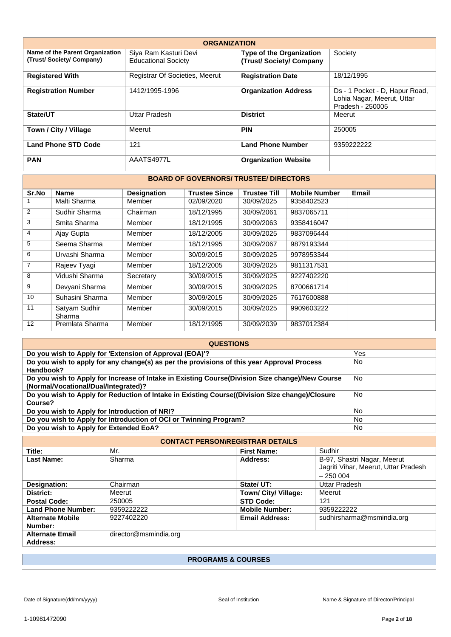| <b>ORGANIZATION</b>                                        |                                                     |                                                           |                                                                                  |  |  |  |  |
|------------------------------------------------------------|-----------------------------------------------------|-----------------------------------------------------------|----------------------------------------------------------------------------------|--|--|--|--|
| Name of the Parent Organization<br>(Trust/Society/Company) | Siya Ram Kasturi Devi<br><b>Educational Society</b> | <b>Type of the Organization</b><br>(Trust/Society/Company | Society                                                                          |  |  |  |  |
| <b>Registered With</b>                                     | Registrar Of Societies, Meerut                      | <b>Registration Date</b>                                  | 18/12/1995                                                                       |  |  |  |  |
| <b>Registration Number</b>                                 | 1412/1995-1996                                      | <b>Organization Address</b>                               | Ds - 1 Pocket - D, Hapur Road,<br>Lohia Nagar, Meerut, Uttar<br>Pradesh - 250005 |  |  |  |  |
| State/UT                                                   | Uttar Pradesh                                       | <b>District</b>                                           | Meerut                                                                           |  |  |  |  |
| Town / City / Village                                      | Meerut                                              | <b>PIN</b>                                                | 250005                                                                           |  |  |  |  |
| <b>Land Phone STD Code</b>                                 | 121                                                 | <b>Land Phone Number</b>                                  | 9359222222                                                                       |  |  |  |  |
| <b>PAN</b>                                                 | AAATS4977L                                          | <b>Organization Website</b>                               |                                                                                  |  |  |  |  |

#### **BOARD OF GOVERNORS/ TRUSTEE/ DIRECTORS**

| Sr.No          | <b>Name</b>             | <b>Designation</b> | <b>Trustee Since</b> | <b>Trustee Till</b> | <b>Mobile Number</b> | <b>Email</b> |
|----------------|-------------------------|--------------------|----------------------|---------------------|----------------------|--------------|
|                | Malti Sharma            | Member             | 02/09/2020           | 30/09/2025          | 9358402523           |              |
| 2              | Sudhir Sharma           | Chairman           | 18/12/1995           | 30/09/2061          | 9837065711           |              |
| 3              | Smita Sharma            | Member             | 18/12/1995           | 30/09/2063          | 9358416047           |              |
| $\overline{4}$ | Ajay Gupta              | Member             | 18/12/2005           | 30/09/2025          | 9837096444           |              |
| 5              | Seema Sharma            | Member             | 18/12/1995           | 30/09/2067          | 9879193344           |              |
| 6              | Urvashi Sharma          | Member             | 30/09/2015           | 30/09/2025          | 9978953344           |              |
| $\overline{7}$ | Rajeev Tyagi            | Member             | 18/12/2005           | 30/09/2025          | 9811317531           |              |
| 8              | Vidushi Sharma          | Secretary          | 30/09/2015           | 30/09/2025          | 9227402220           |              |
| 9              | Devyani Sharma          | Member             | 30/09/2015           | 30/09/2025          | 8700661714           |              |
| 10             | Suhasini Sharma         | Member             | 30/09/2015           | 30/09/2025          | 7617600888           |              |
| 11             | Satyam Sudhir<br>Sharma | Member             | 30/09/2015           | 30/09/2025          | 9909603222           |              |
| 12             | Premlata Sharma         | Member             | 18/12/1995           | 30/09/2039          | 9837012384           |              |

| <b>QUESTIONS</b>                                                                                                                        |           |  |  |  |
|-----------------------------------------------------------------------------------------------------------------------------------------|-----------|--|--|--|
| Do you wish to Apply for 'Extension of Approval (EOA)'?                                                                                 | Yes       |  |  |  |
| Do you wish to apply for any change(s) as per the provisions of this year Approval Process<br>Handbook?                                 | No        |  |  |  |
| Do you wish to Apply for Increase of Intake in Existing Course(Division Size change)/New Course<br>(Normal/Vocational/Dual/Integrated)? | No        |  |  |  |
| Do you wish to Apply for Reduction of Intake in Existing Course((Division Size change)/Closure<br>Course?                               | No        |  |  |  |
| Do you wish to Apply for Introduction of NRI?                                                                                           | No        |  |  |  |
| Do you wish to Apply for Introduction of OCI or Twinning Program?                                                                       | <b>No</b> |  |  |  |
| Do you wish to Apply for Extended EoA?                                                                                                  | No        |  |  |  |

| <b>CONTACT PERSON\REGISTRAR DETAILS</b> |                       |                       |                                                                                  |  |  |
|-----------------------------------------|-----------------------|-----------------------|----------------------------------------------------------------------------------|--|--|
| Title:                                  | Mr.                   | <b>First Name:</b>    | Sudhir                                                                           |  |  |
| <b>Last Name:</b>                       | Sharma                | Address:              | B-97, Shastri Nagar, Meerut<br>Jagriti Vihar, Meerut, Uttar Pradesh<br>$-250004$ |  |  |
| Designation:                            | Chairman              | State/ UT:            | Uttar Pradesh                                                                    |  |  |
| District:                               | Meerut                | Town/ City/ Village:  | Meerut                                                                           |  |  |
| <b>Postal Code:</b>                     | 250005                | <b>STD Code:</b>      | 121                                                                              |  |  |
| <b>Land Phone Number:</b>               | 9359222222            | <b>Mobile Number:</b> | 9359222222                                                                       |  |  |
| <b>Alternate Mobile</b><br>Number:      | 9227402220            | <b>Email Address:</b> | sudhirsharma@msmindia.org                                                        |  |  |
| <b>Alternate Email</b><br>Address:      | director@msmindia.org |                       |                                                                                  |  |  |

### **PROGRAMS & COURSES**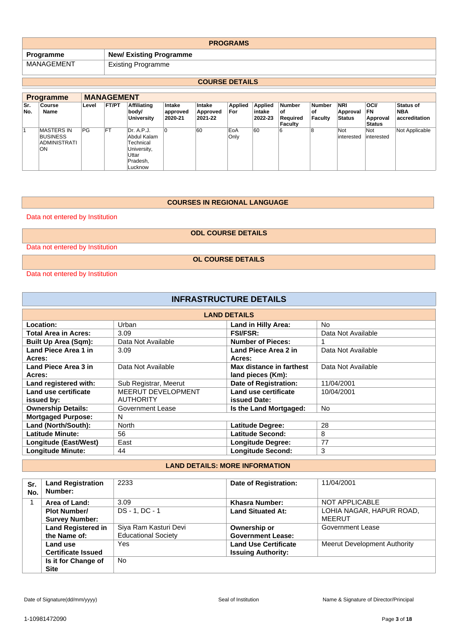| <b>PROGRAMS</b> |                                |  |  |
|-----------------|--------------------------------|--|--|
| Programme       | <b>New/ Existing Programme</b> |  |  |
| MANAGEMENT      | <b>Existing Programme</b>      |  |  |

### **COURSE DETAILS**

|            | <b>Programme</b>                                                   | <b>MANAGEMENT</b> |              |                                                                                       |                               |                               |                       |                              |                                                   |                                       |                                         |                                                       |                                          |
|------------|--------------------------------------------------------------------|-------------------|--------------|---------------------------------------------------------------------------------------|-------------------------------|-------------------------------|-----------------------|------------------------------|---------------------------------------------------|---------------------------------------|-----------------------------------------|-------------------------------------------------------|------------------------------------------|
| Sr.<br>No. | Course<br>Name                                                     | Level             | <b>FT/PT</b> | <b>Affiliating</b><br>body/<br><b>University</b>                                      | Intake<br>approved<br>2020-21 | Intake<br>Approved<br>2021-22 | <b>Applied</b><br>For | Applied<br>intake<br>2022-23 | <b>Number</b><br>οf<br>Reauired<br><b>Faculty</b> | <b>Number</b><br>οf<br><b>Faculty</b> | <b>NRI</b><br>Approval<br><b>Status</b> | <b>OCI/</b><br><b>FN</b><br>Approval<br><b>Status</b> | <b>Status of</b><br>NBA<br>accreditation |
|            | <b>MASTERS IN</b><br><b>BUSINESS</b><br><b>ADMINISTRATI</b><br>ON. | PG                | FT           | Dr. A.P.J.<br>Abdul Kalam<br>Technical<br>University,<br>Uttar<br>Pradesh,<br>Lucknow |                               | 60                            | EoA<br>Only           | 60                           | 6                                                 | ε                                     | Not<br>interested                       | Not<br>interested                                     | Not Applicable                           |

#### **COURSES IN REGIONAL LANGUAGE**

Data not entered by Institution

**ODL COURSE DETAILS**

Data not entered by Institution

**OL COURSE DETAILS**

Data not entered by Institution

| <b>INFRASTRUCTURE DETAILS</b> |                       |                              |                    |  |
|-------------------------------|-----------------------|------------------------------|--------------------|--|
|                               |                       | <b>LAND DETAILS</b>          |                    |  |
| Location:                     | Urban                 | <b>Land in Hilly Area:</b>   | No.                |  |
| <b>Total Area in Acres:</b>   | 3.09                  | <b>FSI/FSR:</b>              | Data Not Available |  |
| <b>Built Up Area (Sqm):</b>   | Data Not Available    | <b>Number of Pieces:</b>     |                    |  |
| Land Piece Area 1 in          | 3.09                  | Land Piece Area 2 in         | Data Not Available |  |
| Acres:                        |                       | Acres:                       |                    |  |
| Land Piece Area 3 in          | Data Not Available    | Max distance in farthest     | Data Not Available |  |
| Acres:                        |                       | land pieces (Km):            |                    |  |
| Land registered with:         | Sub Registrar, Meerut | <b>Date of Registration:</b> | 11/04/2001         |  |
| Land use certificate          | MEERUT DEVELOPMENT    | Land use certificate         | 10/04/2001         |  |
| issued by:                    | <b>AUTHORITY</b>      | <b>issued Date:</b>          |                    |  |
| <b>Ownership Details:</b>     | Government Lease      | Is the Land Mortgaged:       | <b>No</b>          |  |
| <b>Mortgaged Purpose:</b>     | N                     |                              |                    |  |
| Land (North/South):           | <b>North</b>          | <b>Latitude Degree:</b>      | 28                 |  |
| <b>Latitude Minute:</b>       | 56                    | <b>Latitude Second:</b>      | 8                  |  |
| Longitude (East/West)         | East                  | <b>Longitude Degree:</b>     | 77                 |  |
| <b>Longitude Minute:</b>      | 44                    | <b>Longitude Second:</b>     | 3                  |  |

## **LAND DETAILS: MORE INFORMATION**

| Sr.<br>No. | <b>Land Registration</b><br>Number: | 2233                       | Date of Registration:       | 11/04/2001                   |
|------------|-------------------------------------|----------------------------|-----------------------------|------------------------------|
|            | Area of Land:                       | 3.09                       | Khasra Number:              | NOT APPLICABLE               |
|            | <b>Plot Number/</b>                 | DS-1, DC-1                 | <b>Land Situated At:</b>    | LOHIA NAGAR, HAPUR ROAD,     |
|            | <b>Survey Number:</b>               |                            |                             | MEERUT                       |
|            | <b>Land Registered in</b>           | Siya Ram Kasturi Devi      | Ownership or                | Government Lease             |
|            | the Name of:                        | <b>Educational Society</b> | <b>Government Lease:</b>    |                              |
|            | Land use                            | Yes                        | <b>Land Use Certificate</b> | Meerut Development Authority |
|            | <b>Certificate Issued</b>           |                            | <b>Issuing Authority:</b>   |                              |
|            | Is it for Change of                 | No.                        |                             |                              |
|            | <b>Site</b>                         |                            |                             |                              |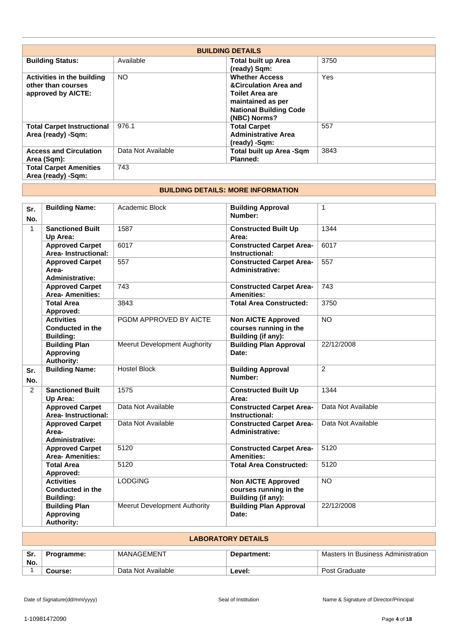|                                                                        |                    | <b>BUILDING DETAILS</b>                                                                                                                                   |      |
|------------------------------------------------------------------------|--------------------|-----------------------------------------------------------------------------------------------------------------------------------------------------------|------|
| <b>Building Status:</b>                                                | Available          | <b>Total built up Area</b><br>(ready) Sqm:                                                                                                                | 3750 |
| Activities in the building<br>other than courses<br>approved by AICTE: | <b>NO</b>          | <b>Whether Access</b><br><b>&amp;Circulation Area and</b><br><b>Toilet Area are</b><br>maintained as per<br><b>National Building Code</b><br>(NBC) Norms? | Yes  |
| <b>Total Carpet Instructional</b><br>Area (ready) -Sqm:                | 976.1              | <b>Total Carpet</b><br><b>Administrative Area</b><br>(ready) -Sqm:                                                                                        | 557  |
| <b>Access and Circulation</b><br>Area (Sqm):                           | Data Not Available | Total built up Area -Sqm<br>Planned:                                                                                                                      | 3843 |
| <b>Total Carpet Amenities</b><br>Area (ready) -Sqm:                    | 743                |                                                                                                                                                           |      |

#### **BUILDING DETAILS: MORE INFORMATION**

| Sr.<br>No.     | <b>Building Name:</b>                                            | Academic Block                      | <b>Building Approval</b><br>Number:                                       | $\mathbf{1}$       |
|----------------|------------------------------------------------------------------|-------------------------------------|---------------------------------------------------------------------------|--------------------|
| $\mathbf{1}$   | <b>Sanctioned Built</b><br>Up Area:                              | 1587                                | <b>Constructed Built Up</b><br>Area:                                      | 1344               |
|                | <b>Approved Carpet</b><br>Area-Instructional:                    | 6017                                | <b>Constructed Carpet Area-</b><br>Instructional:                         | 6017               |
|                | <b>Approved Carpet</b><br>Area-<br><b>Administrative:</b>        | 557                                 | <b>Constructed Carpet Area-</b><br>Administrative:                        | 557                |
|                | <b>Approved Carpet</b><br><b>Area- Amenities:</b>                | 743                                 | <b>Constructed Carpet Area-</b><br><b>Amenities:</b>                      | 743                |
|                | <b>Total Area</b><br>Approved:                                   | 3843                                | <b>Total Area Constructed:</b>                                            | 3750               |
|                | <b>Activities</b><br><b>Conducted in the</b><br><b>Building:</b> | PGDM APPROVED BY AICTE              | <b>Non AICTE Approved</b><br>courses running in the<br>Building (if any): | <b>NO</b>          |
|                | <b>Building Plan</b><br><b>Approving</b><br><b>Authority:</b>    | <b>Meerut Development Aughority</b> | <b>Building Plan Approval</b><br>Date:                                    | 22/12/2008         |
| Sr.<br>No.     | <b>Building Name:</b>                                            | <b>Hostel Block</b>                 | <b>Building Approval</b><br>Number:                                       | $\overline{2}$     |
| $\overline{2}$ | <b>Sanctioned Built</b><br>Up Area:                              | 1575                                | <b>Constructed Built Up</b><br>Area:                                      | 1344               |
|                | <b>Approved Carpet</b><br>Area-Instructional:                    | Data Not Available                  | <b>Constructed Carpet Area-</b><br>Instructional:                         | Data Not Available |
|                | <b>Approved Carpet</b><br>Area-<br><b>Administrative:</b>        | Data Not Available                  | <b>Constructed Carpet Area-</b><br><b>Administrative:</b>                 | Data Not Available |
|                | <b>Approved Carpet</b><br><b>Area-Amenities:</b>                 | 5120                                | <b>Constructed Carpet Area-</b><br><b>Amenities:</b>                      | 5120               |
|                | <b>Total Area</b><br>Approved:                                   | 5120                                | <b>Total Area Constructed:</b>                                            | 5120               |
|                | <b>Activities</b><br><b>Conducted in the</b><br><b>Building:</b> | <b>LODGING</b>                      | <b>Non AICTE Approved</b><br>courses running in the<br>Building (if any): | <b>NO</b>          |
|                | <b>Building Plan</b><br><b>Approving</b><br><b>Authority:</b>    | <b>Meerut Development Authority</b> | <b>Building Plan Approval</b><br>Date:                                    | 22/12/2008         |

| LABORATORY DETAILS                        |            |                                  |               |  |
|-------------------------------------------|------------|----------------------------------|---------------|--|
| Sr.<br>Masters In Business Administration |            |                                  |               |  |
|                                           |            |                                  |               |  |
|                                           |            |                                  |               |  |
| Course:                                   |            | ∟evel:                           | Post Graduate |  |
|                                           | Programme: | MANAGEMENT<br>Data Not Available | Department:   |  |

**LABORATORY DETAILS**

Г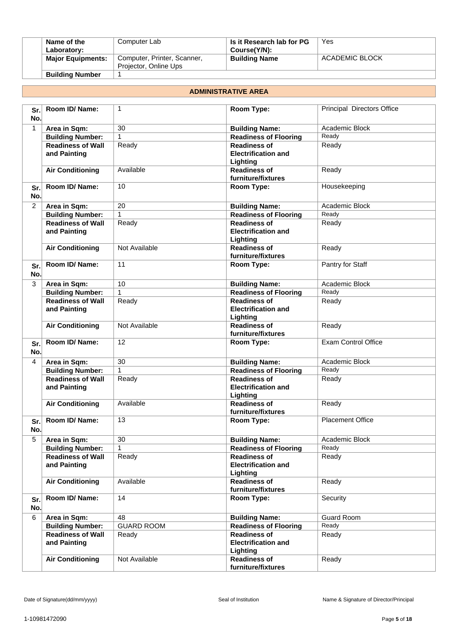| Name of the              | Computer Lab                                         | Is it Research lab for PG | Yes            |
|--------------------------|------------------------------------------------------|---------------------------|----------------|
| Laboratory:              |                                                      | Course(Y/N):              |                |
| <b>Major Equipments:</b> | Computer, Printer, Scanner,<br>Projector, Online Ups | <b>Building Name</b>      | ACADEMIC BLOCK |
| <b>Building Number</b>   |                                                      |                           |                |

#### **ADMINISTRATIVE AREA**

| Sr.<br>No.   | Room ID/ Name:                           | $\mathbf{1}$      | Room Type:                                                    | Principal Directors Office |
|--------------|------------------------------------------|-------------------|---------------------------------------------------------------|----------------------------|
| $\mathbf{1}$ | Area in Sqm:                             | 30                | <b>Building Name:</b>                                         | Academic Block             |
|              | <b>Building Number:</b>                  | $\mathbf{1}$      | <b>Readiness of Flooring</b>                                  | Ready                      |
|              | <b>Readiness of Wall</b><br>and Painting | Ready             | <b>Readiness of</b><br><b>Electrification and</b><br>Lighting | Ready                      |
|              | <b>Air Conditioning</b>                  | Available         | <b>Readiness of</b><br>furniture/fixtures                     | Ready                      |
| Sr.<br>No.   | Room ID/Name:                            | 10 <sup>10</sup>  | Room Type:                                                    | Housekeeping               |
| 2            | Area in Sqm:                             | 20                | <b>Building Name:</b>                                         | Academic Block             |
|              | <b>Building Number:</b>                  | 1                 | <b>Readiness of Flooring</b>                                  | Ready                      |
|              | <b>Readiness of Wall</b><br>and Painting | Ready             | <b>Readiness of</b><br><b>Electrification and</b><br>Lighting | Ready                      |
|              | <b>Air Conditioning</b>                  | Not Available     | <b>Readiness of</b><br>furniture/fixtures                     | Ready                      |
| Sr.<br>No.   | Room ID/ Name:                           | 11                | Room Type:                                                    | Pantry for Staff           |
| 3            | Area in Sqm:                             | 10                | <b>Building Name:</b>                                         | Academic Block             |
|              | <b>Building Number:</b>                  | $\mathbf{1}$      | Readiness of Flooring                                         | Ready                      |
|              | <b>Readiness of Wall</b><br>and Painting | Ready             | <b>Readiness of</b><br><b>Electrification and</b><br>Lighting | Ready                      |
|              | <b>Air Conditioning</b>                  | Not Available     | <b>Readiness of</b><br>furniture/fixtures                     | Ready                      |
| Sr.<br>No.   | Room ID/ Name:                           | 12                | Room Type:                                                    | <b>Exam Control Office</b> |
| 4            | Area in Sqm:                             | $\overline{30}$   | <b>Building Name:</b>                                         | Academic Block             |
|              | <b>Building Number:</b>                  | $\mathbf{1}$      | <b>Readiness of Flooring</b>                                  | Ready                      |
|              | <b>Readiness of Wall</b><br>and Painting | Ready             | <b>Readiness of</b><br><b>Electrification and</b><br>Lighting | Ready                      |
|              | <b>Air Conditioning</b>                  | Available         | <b>Readiness of</b><br>furniture/fixtures                     | Ready                      |
| Sr.<br>No.   | Room ID/ Name:                           | 13                | Room Type:                                                    | <b>Placement Office</b>    |
| 5            | Area in Sqm:                             | 30                | <b>Building Name:</b>                                         | Academic Block             |
|              | <b>Building Number:</b>                  | 1                 | <b>Readiness of Flooring</b>                                  | Ready                      |
|              | <b>Readiness of Wall</b><br>and Painting | Ready             | <b>Readiness of</b><br><b>Electrification and</b><br>Lighting | Ready                      |
|              | <b>Air Conditioning</b>                  | Available         | <b>Readiness of</b><br>furniture/fixtures                     | Ready                      |
| Sr.<br>No.   | Room ID/Name:                            | 14                | Room Type:                                                    | Security                   |
| 6            | Area in Sqm:                             | 48                | <b>Building Name:</b>                                         | Guard Room                 |
|              | <b>Building Number:</b>                  | <b>GUARD ROOM</b> | <b>Readiness of Flooring</b>                                  | Ready                      |
|              | <b>Readiness of Wall</b><br>and Painting | Ready             | <b>Readiness of</b><br><b>Electrification and</b><br>Lighting | Ready                      |
|              | <b>Air Conditioning</b>                  | Not Available     | <b>Readiness of</b><br>furniture/fixtures                     | Ready                      |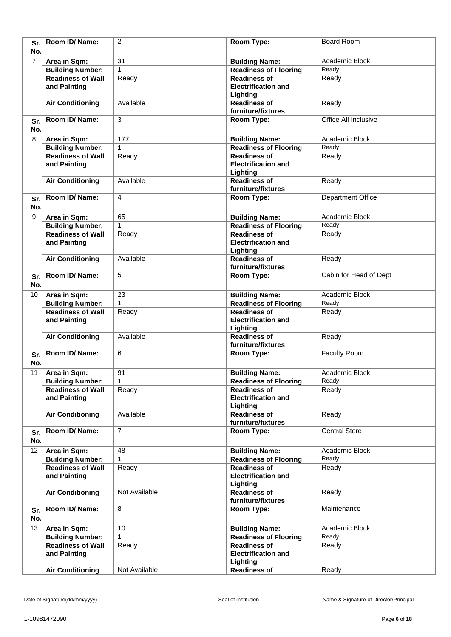| Sr.<br>No.     | Room ID/ Name:                           | $\overline{2}$ | Room Type:                                                    | <b>Board Room</b>        |
|----------------|------------------------------------------|----------------|---------------------------------------------------------------|--------------------------|
| $\overline{7}$ | Area in Sqm:                             | 31             | <b>Building Name:</b>                                         | Academic Block           |
|                | <b>Building Number:</b>                  | 1              | <b>Readiness of Flooring</b>                                  | Ready                    |
|                | <b>Readiness of Wall</b><br>and Painting | Ready          | <b>Readiness of</b><br><b>Electrification and</b><br>Lighting | Ready                    |
|                | <b>Air Conditioning</b>                  | Available      | <b>Readiness of</b><br>furniture/fixtures                     | Ready                    |
| Sr.<br>No.     | Room ID/ Name:                           | 3              | Room Type:                                                    | Office All Inclusive     |
| 8              | Area in Sqm:                             | 177            | <b>Building Name:</b>                                         | Academic Block           |
|                | <b>Building Number:</b>                  | 1              | <b>Readiness of Flooring</b>                                  | Ready                    |
|                | <b>Readiness of Wall</b>                 | Ready          | <b>Readiness of</b>                                           | Ready                    |
|                | and Painting                             |                | <b>Electrification and</b><br>Lighting                        |                          |
|                | <b>Air Conditioning</b>                  | Available      | <b>Readiness of</b><br>furniture/fixtures                     | Ready                    |
| Sr.<br>No.     | Room ID/ Name:                           | 4              | Room Type:                                                    | <b>Department Office</b> |
| 9              | Area in Sqm:                             | 65             | <b>Building Name:</b>                                         | Academic Block           |
|                | <b>Building Number:</b>                  | 1              | <b>Readiness of Flooring</b>                                  | Ready                    |
|                | <b>Readiness of Wall</b><br>and Painting | Ready          | <b>Readiness of</b><br><b>Electrification and</b><br>Lighting | Ready                    |
|                | <b>Air Conditioning</b>                  | Available      | <b>Readiness of</b><br>furniture/fixtures                     | Ready                    |
| Sr.<br>No.     | Room ID/Name:                            | 5              | Room Type:                                                    | Cabin for Head of Dept   |
| 10             | Area in Sqm:                             | 23             | <b>Building Name:</b>                                         | Academic Block           |
|                | <b>Building Number:</b>                  | $\mathbf{1}$   | <b>Readiness of Flooring</b>                                  | Ready                    |
|                | <b>Readiness of Wall</b>                 | Ready          | <b>Readiness of</b>                                           | Ready                    |
|                | and Painting                             |                | <b>Electrification and</b><br>Lighting                        |                          |
|                | <b>Air Conditioning</b>                  | Available      | <b>Readiness of</b><br>furniture/fixtures                     | Ready                    |
| Sr.<br>No.     | Room ID/ Name:                           | 6              | Room Type:                                                    | Faculty Room             |
| 11             | Area in Sqm:                             | 91             | <b>Building Name:</b>                                         | Academic Block           |
|                | <b>Building Number:</b>                  | $\mathbf{1}$   | <b>Readiness of Flooring</b>                                  | Ready                    |
|                | <b>Readiness of Wall</b><br>and Painting | Ready          | <b>Readiness of</b><br><b>Electrification and</b><br>Lighting | Ready                    |
|                | <b>Air Conditioning</b>                  | Available      | <b>Readiness of</b><br>furniture/fixtures                     | Ready                    |
| Sr.<br>No.     | Room ID/ Name:                           | $\overline{7}$ | Room Type:                                                    | <b>Central Store</b>     |
| 12             | Area in Sqm:                             | 48             | <b>Building Name:</b>                                         | Academic Block           |
|                | <b>Building Number:</b>                  | 1              | <b>Readiness of Flooring</b>                                  | Ready                    |
|                | <b>Readiness of Wall</b><br>and Painting | Ready          | <b>Readiness of</b><br><b>Electrification and</b><br>Lighting | Ready                    |
|                | <b>Air Conditioning</b>                  | Not Available  | <b>Readiness of</b><br>furniture/fixtures                     | Ready                    |
| Sr.<br>No.     | Room ID/ Name:                           | 8              | Room Type:                                                    | Maintenance              |
| 13             | Area in Sqm:                             | 10             | <b>Building Name:</b>                                         | Academic Block           |
|                | <b>Building Number:</b>                  | 1              | <b>Readiness of Flooring</b>                                  | Ready                    |
|                | <b>Readiness of Wall</b><br>and Painting | Ready          | <b>Readiness of</b><br><b>Electrification and</b><br>Lighting | Ready                    |
|                | <b>Air Conditioning</b>                  | Not Available  | <b>Readiness of</b>                                           | Ready                    |
|                |                                          |                |                                                               |                          |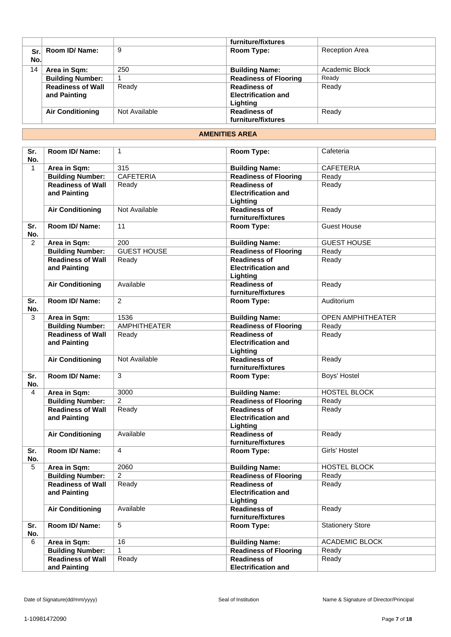|     |                          |               | furniture/fixtures           |                       |
|-----|--------------------------|---------------|------------------------------|-----------------------|
| Sr. | Room ID/ Name:           | 9             | Room Type:                   | <b>Reception Area</b> |
| No. |                          |               |                              |                       |
| 14  | Area in Sqm:             | 250           | <b>Building Name:</b>        | Academic Block        |
|     | <b>Building Number:</b>  |               | <b>Readiness of Flooring</b> | Ready                 |
|     | <b>Readiness of Wall</b> | Ready         | <b>Readiness of</b>          | Ready                 |
|     | and Painting             |               | <b>Electrification and</b>   |                       |
|     |                          |               | Lighting                     |                       |
|     | <b>Air Conditioning</b>  | Not Available | <b>Readiness of</b>          | Ready                 |
|     |                          |               | furniture/fixtures           |                       |

#### **AMENITIES AREA**

| Sr.<br>No.   | Room ID/Name:                            | $\mathbf{1}$       | Room Type:                                                    | Cafeteria                |
|--------------|------------------------------------------|--------------------|---------------------------------------------------------------|--------------------------|
| $\mathbf{1}$ | Area in Sqm:                             | 315                | <b>Building Name:</b>                                         | <b>CAFETERIA</b>         |
|              | <b>Building Number:</b>                  | <b>CAFETERIA</b>   | <b>Readiness of Flooring</b>                                  | Ready                    |
|              | <b>Readiness of Wall</b><br>and Painting | Ready              | <b>Readiness of</b><br><b>Electrification and</b><br>Lighting | Ready                    |
|              | <b>Air Conditioning</b>                  | Not Available      | <b>Readiness of</b><br>furniture/fixtures                     | Ready                    |
| Sr.<br>No.   | Room ID/ Name:                           | 11                 | Room Type:                                                    | <b>Guest House</b>       |
| 2            | Area in Sqm:                             | 200                | <b>Building Name:</b>                                         | <b>GUEST HOUSE</b>       |
|              | <b>Building Number:</b>                  | <b>GUEST HOUSE</b> | <b>Readiness of Flooring</b>                                  | Ready                    |
|              | <b>Readiness of Wall</b><br>and Painting | Ready              | <b>Readiness of</b><br><b>Electrification and</b><br>Lighting | Ready                    |
|              | <b>Air Conditioning</b>                  | Available          | <b>Readiness of</b><br>furniture/fixtures                     | Ready                    |
| Sr.<br>No.   | Room ID/ Name:                           | $\overline{2}$     | Room Type:                                                    | Auditorium               |
| 3            | Area in Sqm:                             | 1536               | <b>Building Name:</b>                                         | <b>OPEN AMPHITHEATER</b> |
|              | <b>Building Number:</b>                  | AMPHITHEATER       | <b>Readiness of Flooring</b>                                  | Ready                    |
|              | <b>Readiness of Wall</b><br>and Painting | Ready              | <b>Readiness of</b><br><b>Electrification and</b><br>Lighting | Ready                    |
|              | <b>Air Conditioning</b>                  | Not Available      | <b>Readiness of</b><br>furniture/fixtures                     | Ready                    |
| Sr.<br>No.   | Room ID/ Name:                           | 3                  | Room Type:                                                    | Boys' Hostel             |
| 4            | Area in Sqm:                             | 3000               | <b>Building Name:</b>                                         | HOSTEL BLOCK             |
|              | <b>Building Number:</b>                  | 2                  | <b>Readiness of Flooring</b>                                  | Ready                    |
|              | <b>Readiness of Wall</b><br>and Painting | Ready              | <b>Readiness of</b><br><b>Electrification and</b><br>Lighting | Ready                    |
|              | <b>Air Conditioning</b>                  | Available          | <b>Readiness of</b><br>furniture/fixtures                     | Ready                    |
| Sr.<br>No.   | Room ID/ Name:                           | $\overline{4}$     | Room Type:                                                    | Girls' Hostel            |
| 5            | Area in Sqm:                             | 2060               | <b>Building Name:</b>                                         | HOSTEL BLOCK             |
|              | <b>Building Number:</b>                  | $\overline{c}$     | <b>Readiness of Flooring</b>                                  | Ready                    |
|              | <b>Readiness of Wall</b><br>and Painting | Ready              | <b>Readiness of</b><br><b>Electrification and</b><br>Lighting | Ready                    |
|              | <b>Air Conditioning</b>                  | Available          | <b>Readiness of</b><br>furniture/fixtures                     | Ready                    |
| Sr.<br>No.   | Room ID/Name:                            | 5                  | Room Type:                                                    | <b>Stationery Store</b>  |
| 6            | Area in Sqm:                             | 16                 | <b>Building Name:</b>                                         | ACADEMIC BLOCK           |
|              | <b>Building Number:</b>                  | 1                  | <b>Readiness of Flooring</b>                                  | Ready                    |
|              | <b>Readiness of Wall</b><br>and Painting | Ready              | <b>Readiness of</b><br><b>Electrification and</b>             | Ready                    |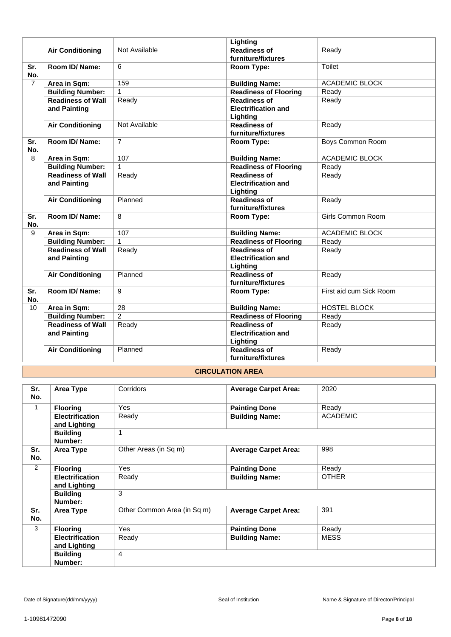|                |                                          |                 | Lighting                                                      |                          |
|----------------|------------------------------------------|-----------------|---------------------------------------------------------------|--------------------------|
|                | <b>Air Conditioning</b>                  | Not Available   | <b>Readiness of</b>                                           | Ready                    |
|                |                                          |                 | furniture/fixtures                                            |                          |
| Sr.<br>No.     | Room ID/Name:                            | 6               | <b>Room Type:</b>                                             | <b>Toilet</b>            |
| $\overline{7}$ | Area in Sqm:                             | 159             | <b>Building Name:</b>                                         | <b>ACADEMIC BLOCK</b>    |
|                | <b>Building Number:</b>                  | $\mathbf{1}$    | <b>Readiness of Flooring</b>                                  | Ready                    |
|                | <b>Readiness of Wall</b><br>and Painting | Ready           | <b>Readiness of</b><br><b>Electrification and</b><br>Lighting | Ready                    |
|                | <b>Air Conditioning</b>                  | Not Available   | <b>Readiness of</b><br>furniture/fixtures                     | Ready                    |
| Sr.<br>No.     | Room ID/Name:                            | $\overline{7}$  | Room Type:                                                    | Boys Common Room         |
| 8              | Area in Sqm:                             | 107             | <b>Building Name:</b>                                         | <b>ACADEMIC BLOCK</b>    |
|                | <b>Building Number:</b>                  | $\mathbf{1}$    | <b>Readiness of Flooring</b>                                  | Ready                    |
|                | <b>Readiness of Wall</b><br>and Painting | Ready           | <b>Readiness of</b><br><b>Electrification and</b><br>Lighting | Ready                    |
|                | <b>Air Conditioning</b>                  | Planned         | <b>Readiness of</b><br>furniture/fixtures                     | Ready                    |
| Sr.<br>No.     | Room ID/Name:                            | 8               | Room Type:                                                    | <b>Girls Common Room</b> |
| 9              | Area in Sqm:                             | 107             | <b>Building Name:</b>                                         | <b>ACADEMIC BLOCK</b>    |
|                | <b>Building Number:</b>                  | $\mathbf{1}$    | <b>Readiness of Flooring</b>                                  | Ready                    |
|                | <b>Readiness of Wall</b><br>and Painting | Ready           | <b>Readiness of</b><br><b>Electrification and</b><br>Lighting | Ready                    |
|                | <b>Air Conditioning</b>                  | Planned         | <b>Readiness of</b><br>furniture/fixtures                     | Ready                    |
| Sr.<br>No.     | Room ID/Name:                            | 9               | Room Type:                                                    | First aid cum Sick Room  |
| 10             | Area in Sqm:                             | $\overline{28}$ | <b>Building Name:</b>                                         | <b>HOSTEL BLOCK</b>      |
|                | <b>Building Number:</b>                  | $\overline{2}$  | <b>Readiness of Flooring</b>                                  | Ready                    |
|                | <b>Readiness of Wall</b><br>and Painting | Ready           | <b>Readiness of</b><br><b>Electrification and</b><br>Lighting | Ready                    |
|                | <b>Air Conditioning</b>                  | Planned         | <b>Readiness of</b><br>furniture/fixtures                     | Ready                    |

# **CIRCULATION AREA**

| Sr.<br>No.   | Area Type                              | Corridors                   | <b>Average Carpet Area:</b> | 2020            |
|--------------|----------------------------------------|-----------------------------|-----------------------------|-----------------|
| $\mathbf{1}$ | <b>Flooring</b>                        | Yes                         | <b>Painting Done</b>        | Ready           |
|              | <b>Electrification</b><br>and Lighting | Ready                       | <b>Building Name:</b>       | <b>ACADEMIC</b> |
|              | <b>Building</b><br>Number:             | 1                           |                             |                 |
| Sr.<br>No.   | Area Type                              | Other Areas (in Sq m)       | <b>Average Carpet Area:</b> | 998             |
| 2            | <b>Flooring</b>                        | <b>Yes</b>                  | <b>Painting Done</b>        | Ready           |
|              | <b>Electrification</b><br>and Lighting | Ready                       | <b>Building Name:</b>       | <b>OTHER</b>    |
|              | <b>Building</b><br>Number:             | 3                           |                             |                 |
| Sr.<br>No.   | Area Type                              | Other Common Area (in Sq m) | <b>Average Carpet Area:</b> | 391             |
| 3            | <b>Flooring</b>                        | Yes                         | <b>Painting Done</b>        | Ready           |
|              | <b>Electrification</b><br>and Lighting | Ready                       | <b>Building Name:</b>       | <b>MESS</b>     |
|              | <b>Building</b><br>Number:             | $\overline{4}$              |                             |                 |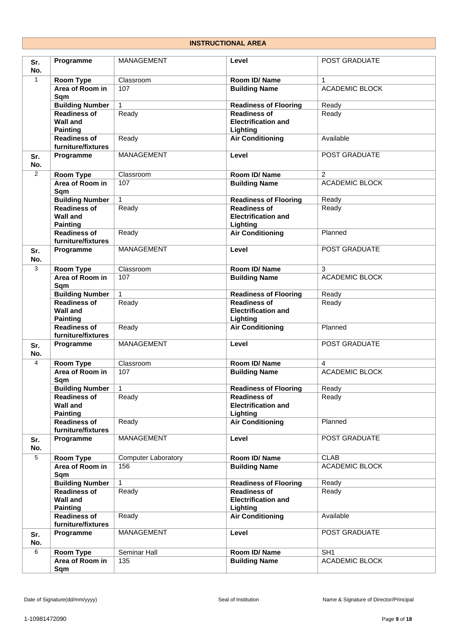#### **INSTRUCTIONAL AREA**

| Sr.<br>No.     | Programme                                                 | <b>MANAGEMENT</b>          | Level                                                         | POST GRADUATE         |
|----------------|-----------------------------------------------------------|----------------------------|---------------------------------------------------------------|-----------------------|
| $\mathbf{1}$   | Room Type                                                 | Classroom                  | Room ID/Name                                                  | $\mathbf{1}$          |
|                | Area of Room in<br>Sqm                                    | 107                        | <b>Building Name</b>                                          | <b>ACADEMIC BLOCK</b> |
|                | <b>Building Number</b>                                    | $\mathbf{1}$               | <b>Readiness of Flooring</b>                                  | Ready                 |
|                | <b>Readiness of</b>                                       | Ready                      | <b>Readiness of</b>                                           | Ready                 |
|                | <b>Wall and</b><br><b>Painting</b>                        |                            | <b>Electrification and</b><br>Lighting                        |                       |
|                | <b>Readiness of</b><br>furniture/fixtures                 | Ready                      | <b>Air Conditioning</b>                                       | Available             |
| Sr.<br>No.     | Programme                                                 | MANAGEMENT                 | Level                                                         | POST GRADUATE         |
| $\overline{2}$ | Room Type                                                 | Classroom                  | Room ID/Name                                                  | $\overline{2}$        |
|                | Area of Room in<br>Sqm                                    | 107                        | <b>Building Name</b>                                          | <b>ACADEMIC BLOCK</b> |
|                | <b>Building Number</b>                                    | 1                          | <b>Readiness of Flooring</b>                                  | Ready                 |
|                | <b>Readiness of</b><br><b>Wall and</b><br><b>Painting</b> | Ready                      | <b>Readiness of</b><br><b>Electrification and</b><br>Lighting | Ready                 |
|                | <b>Readiness of</b><br>furniture/fixtures                 | Ready                      | <b>Air Conditioning</b>                                       | Planned               |
| Sr.<br>No.     | Programme                                                 | MANAGEMENT                 | Level                                                         | POST GRADUATE         |
| 3              | Room Type                                                 | Classroom                  | Room ID/Name                                                  | 3                     |
|                | Area of Room in<br>Sqm                                    | 107                        | <b>Building Name</b>                                          | <b>ACADEMIC BLOCK</b> |
|                | <b>Building Number</b>                                    | $\mathbf{1}$               | <b>Readiness of Flooring</b>                                  | Ready                 |
|                | <b>Readiness of</b>                                       | Ready                      | <b>Readiness of</b>                                           | Ready                 |
|                | <b>Wall and</b><br><b>Painting</b>                        |                            | <b>Electrification and</b><br>Lighting                        |                       |
|                | <b>Readiness of</b><br>furniture/fixtures                 | Ready                      | <b>Air Conditioning</b>                                       | Planned               |
| Sr.<br>No.     | Programme                                                 | MANAGEMENT                 | Level                                                         | POST GRADUATE         |
| $\overline{4}$ | <b>Room Type</b>                                          | Classroom                  | Room ID/Name                                                  | 4                     |
|                | Area of Room in<br>Sqm                                    | 107                        | <b>Building Name</b>                                          | <b>ACADEMIC BLOCK</b> |
|                | <b>Building Number</b>                                    | $\mathbf{1}$               | <b>Readiness of Flooring</b>                                  | Ready                 |
|                | <b>Readiness of</b><br><b>Wall and</b><br><b>Painting</b> | Ready                      | <b>Readiness of</b><br><b>Electrification and</b><br>Lighting | Ready                 |
|                | <b>Readiness of</b><br>furniture/fixtures                 | Ready                      | <b>Air Conditioning</b>                                       | Planned               |
| Sr.<br>No.     | Programme                                                 | MANAGEMENT                 | Level                                                         | POST GRADUATE         |
| $\overline{5}$ | <b>Room Type</b>                                          | <b>Computer Laboratory</b> | Room ID/Name                                                  | <b>CLAB</b>           |
|                | Area of Room in<br>Sqm                                    | 156                        | <b>Building Name</b>                                          | <b>ACADEMIC BLOCK</b> |
|                | <b>Building Number</b>                                    | $\mathbf{1}$               | <b>Readiness of Flooring</b>                                  | Ready                 |
|                | <b>Readiness of</b><br><b>Wall and</b><br><b>Painting</b> | Ready                      | <b>Readiness of</b><br><b>Electrification and</b><br>Lighting | Ready                 |
|                | <b>Readiness of</b><br>furniture/fixtures                 | Ready                      | <b>Air Conditioning</b>                                       | Available             |
| Sr.<br>No.     | Programme                                                 | MANAGEMENT                 | Level                                                         | POST GRADUATE         |
| 6              | Room Type                                                 | Seminar Hall               | Room ID/Name                                                  | $\overline{SH1}$      |
|                | Area of Room in                                           | 135                        | <b>Building Name</b>                                          | ACADEMIC BLOCK        |
|                | Sqm                                                       |                            |                                                               |                       |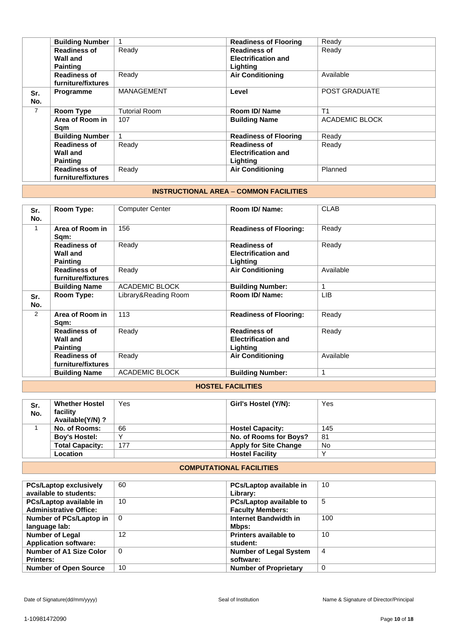|                | <b>Building Number</b> |                      | <b>Readiness of Flooring</b> | Ready                 |
|----------------|------------------------|----------------------|------------------------------|-----------------------|
|                | <b>Readiness of</b>    | Ready                | <b>Readiness of</b>          | Ready                 |
|                | Wall and               |                      | <b>Electrification and</b>   |                       |
|                | <b>Painting</b>        |                      | Lighting                     |                       |
|                | <b>Readiness of</b>    | Ready                | <b>Air Conditioning</b>      | Available             |
|                | furniture/fixtures     |                      |                              |                       |
| Sr.            | Programme              | <b>MANAGEMENT</b>    | Level                        | <b>POST GRADUATE</b>  |
| No.            |                        |                      |                              |                       |
| $\overline{7}$ | <b>Room Type</b>       | <b>Tutorial Room</b> | Room ID/Name                 | T <sub>1</sub>        |
|                | Area of Room in        | 107                  | <b>Building Name</b>         | <b>ACADEMIC BLOCK</b> |
|                | Sam                    |                      |                              |                       |
|                | <b>Building Number</b> |                      | <b>Readiness of Flooring</b> | Ready                 |
|                | <b>Readiness of</b>    | Ready                | <b>Readiness of</b>          | Ready                 |
|                | Wall and               |                      | <b>Electrification and</b>   |                       |
|                | <b>Painting</b>        |                      | Lighting                     |                       |
|                | <b>Readiness of</b>    | Ready                | <b>Air Conditioning</b>      | Planned               |
|                | furniture/fixtures     |                      |                              |                       |

#### **INSTRUCTIONAL AREA** – **COMMON FACILITIES**

| Sr.<br>No. | Room Type:                                                | <b>Computer Center</b> | Room ID/ Name:                                                | <b>CLAB</b> |
|------------|-----------------------------------------------------------|------------------------|---------------------------------------------------------------|-------------|
| 1          | Area of Room in<br>Sqm:                                   | 156                    | <b>Readiness of Flooring:</b>                                 | Ready       |
|            | <b>Readiness of</b><br><b>Wall and</b><br><b>Painting</b> | Ready                  | <b>Readiness of</b><br><b>Electrification and</b><br>Lighting | Ready       |
|            | <b>Readiness of</b><br>furniture/fixtures                 | Ready                  | <b>Air Conditioning</b>                                       | Available   |
|            | <b>Building Name</b>                                      | <b>ACADEMIC BLOCK</b>  | <b>Building Number:</b>                                       |             |
| Sr.<br>No. | Room Type:                                                | Library&Reading Room   | Room ID/ Name:                                                | <b>LIB</b>  |
| 2          | Area of Room in<br>Sqm:                                   | 113                    | <b>Readiness of Flooring:</b>                                 | Ready       |
|            | <b>Readiness of</b><br><b>Wall and</b><br><b>Painting</b> | Ready                  | <b>Readiness of</b><br><b>Electrification and</b><br>Lighting | Ready       |
|            | <b>Readiness of</b><br>furniture/fixtures                 | Ready                  | <b>Air Conditioning</b>                                       | Available   |
|            | <b>Building Name</b>                                      | ACADEMIC BLOCK         | <b>Building Number:</b>                                       | 1           |

#### **HOSTEL FACILITIES**

| Sr.<br>No. | <b>Whether Hostel</b><br>facility<br>Available(Y/N)? | Yes | Girl's Hostel (Y/N):         | Yes |
|------------|------------------------------------------------------|-----|------------------------------|-----|
|            | No. of Rooms:                                        | 66  | <b>Hostel Capacity:</b>      | 145 |
|            | <b>Boy's Hostel:</b>                                 |     | No. of Rooms for Boys?       | -81 |
|            | <b>Total Capacity:</b>                               | 177 | <b>Apply for Site Change</b> | No  |
|            | <b>Location</b>                                      |     | <b>Hostel Facility</b>       |     |

### **COMPUTATIONAL FACILITIES**

| <b>PCs/Laptop exclusively</b>  | 60       | PCs/Laptop available in        | 10       |
|--------------------------------|----------|--------------------------------|----------|
| available to students:         |          | Library:                       |          |
| PCs/Laptop available in        | 10       | <b>PCs/Laptop available to</b> | 5        |
| <b>Administrative Office:</b>  |          | <b>Faculty Members:</b>        |          |
| Number of PCs/Laptop in        | $\Omega$ | Internet Bandwidth in          | 100      |
| language lab:                  |          | Mbps:                          |          |
| <b>Number of Legal</b>         | 12       | <b>Printers available to</b>   | 10       |
| <b>Application software:</b>   |          | student:                       |          |
| <b>Number of A1 Size Color</b> | $\Omega$ | <b>Number of Legal System</b>  | 4        |
| <b>Printers:</b>               |          | software:                      |          |
| <b>Number of Open Source</b>   | 10       | <b>Number of Proprietary</b>   | $\Omega$ |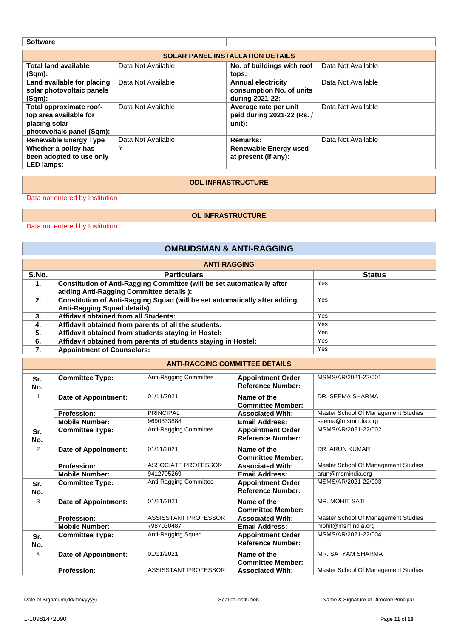| <b>Software</b>                                                                                 |                                         |                                                                          |                    |  |  |  |
|-------------------------------------------------------------------------------------------------|-----------------------------------------|--------------------------------------------------------------------------|--------------------|--|--|--|
|                                                                                                 | <b>SOLAR PANEL INSTALLATION DETAILS</b> |                                                                          |                    |  |  |  |
| <b>Total land available</b><br>(Sqm):                                                           | Data Not Available                      | No. of buildings with roof<br>tops:                                      | Data Not Available |  |  |  |
| Land available for placing<br>solar photovoltaic panels<br>$(Sqm)$ :                            | Data Not Available                      | <b>Annual electricity</b><br>consumption No. of units<br>during 2021-22: | Data Not Available |  |  |  |
| Total approximate roof-<br>top area available for<br>placing solar<br>photovoltaic panel (Sqm): | Data Not Available                      | Average rate per unit<br>paid during 2021-22 (Rs. /<br>unit):            | Data Not Available |  |  |  |
| <b>Renewable Energy Type</b>                                                                    | Data Not Available                      | <b>Remarks:</b>                                                          | Data Not Available |  |  |  |
| Whether a policy has<br>been adopted to use only<br><b>LED lamps:</b>                           | Υ                                       | Renewable Energy used<br>at present (if any):                            |                    |  |  |  |

#### **ODL INFRASTRUCTURE**

Data not entered by Institution

### **OL INFRASTRUCTURE**

Data not entered by Institution

### **OMBUDSMAN & ANTI-RAGGING**

| <b>ANTI-RAGGING</b> |                                                                            |               |  |  |  |
|---------------------|----------------------------------------------------------------------------|---------------|--|--|--|
| S.No.               | <b>Particulars</b>                                                         | <b>Status</b> |  |  |  |
| 1.                  | Constitution of Anti-Ragging Committee (will be set automatically after    | Yes           |  |  |  |
|                     | adding Anti-Ragging Committee details ):                                   |               |  |  |  |
| 2.                  | Constitution of Anti-Ragging Squad (will be set automatically after adding | Yes           |  |  |  |
|                     | <b>Anti-Ragging Squad details)</b>                                         |               |  |  |  |
| 3.                  | Affidavit obtained from all Students:                                      | Yes           |  |  |  |
| 4.                  | Affidavit obtained from parents of all the students:                       | <b>Yes</b>    |  |  |  |
| 5.                  | Affidavit obtained from students staying in Hostel:                        | Yes           |  |  |  |
| 6.                  | Affidavit obtained from parents of students staying in Hostel:             | Yes           |  |  |  |
| 7.                  | <b>Appointment of Counselors:</b>                                          | Yes           |  |  |  |

#### **ANTI-RAGGING COMMITTEE DETAILS**

| Sr. | <b>Committee Type:</b> | Anti-Ragging Committee | <b>Appointment Order</b> | MSMS/AR/2021-22/001                 |
|-----|------------------------|------------------------|--------------------------|-------------------------------------|
| No. |                        |                        | <b>Reference Number:</b> |                                     |
|     |                        |                        |                          |                                     |
|     | Date of Appointment:   | 01/11/2021             | Name of the              | DR. SEEMA SHARMA                    |
|     |                        |                        | <b>Committee Member:</b> |                                     |
|     | <b>Profession:</b>     | <b>PRINCIPAL</b>       | <b>Associated With:</b>  | Master School Of Management Studies |
|     | <b>Mobile Number:</b>  | 9690333888             | <b>Email Address:</b>    | seema@msmindia.org                  |
| Sr. | <b>Committee Type:</b> | Anti-Ragging Committee | <b>Appointment Order</b> | MSMS/AR/2021-22/002                 |
| No. |                        |                        | <b>Reference Number:</b> |                                     |
| 2   | Date of Appointment:   | 01/11/2021             | Name of the              | DR. ARUN KUMAR                      |
|     |                        |                        | <b>Committee Member:</b> |                                     |
|     |                        |                        |                          |                                     |
|     | <b>Profession:</b>     | ASSOCIATE PROFESSOR    | <b>Associated With:</b>  | Master School Of Management Studies |
|     | <b>Mobile Number:</b>  | 9412705269             | <b>Email Address:</b>    | arun@msmindia.org                   |
| Sr. | <b>Committee Type:</b> | Anti-Ragging Committee | <b>Appointment Order</b> | MSMS/AR/2021-22/003                 |
| No. |                        |                        | <b>Reference Number:</b> |                                     |
|     |                        |                        |                          |                                     |
| 3   | Date of Appointment:   | 01/11/2021             | Name of the              | <b>MR. MOHIT SATI</b>               |
|     |                        |                        | <b>Committee Member:</b> |                                     |
|     | <b>Profession:</b>     | ASSISSTANT PROFESSOR   | <b>Associated With:</b>  | Master School Of Management Studies |
|     | <b>Mobile Number:</b>  | 7987030487             | <b>Email Address:</b>    | mohit@msmindia.org                  |
| Sr. | <b>Committee Type:</b> | Anti-Ragging Squad     | <b>Appointment Order</b> | MSMS/AR/2021-22/004                 |
| No. |                        |                        | <b>Reference Number:</b> |                                     |
|     |                        |                        |                          |                                     |
| 4   | Date of Appointment:   | 01/11/2021             | Name of the              | MR. SATYAM SHARMA                   |
|     |                        |                        | <b>Committee Member:</b> |                                     |
|     | <b>Profession:</b>     | ASSISSTANT PROFESSOR   | <b>Associated With:</b>  | Master School Of Management Studies |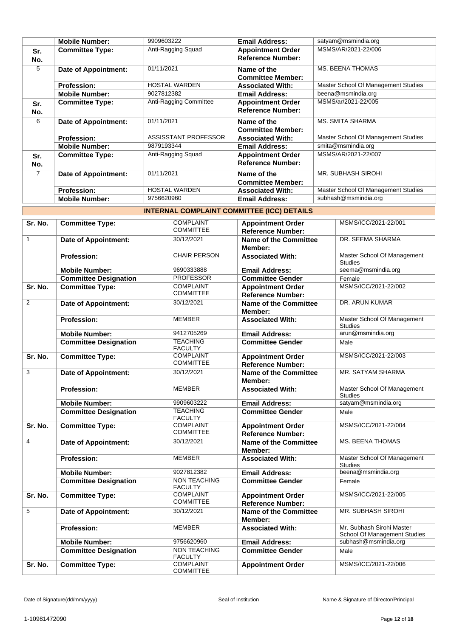|            | <b>Mobile Number:</b>       | 9909603222             | <b>Email Address:</b>                                | satyam@msmindia.org                 |
|------------|-----------------------------|------------------------|------------------------------------------------------|-------------------------------------|
| Sr.<br>No. | <b>Committee Type:</b>      | Anti-Ragging Squad     | <b>Appointment Order</b><br><b>Reference Number:</b> | MSMS/AR/2021-22/006                 |
| 5          | Date of Appointment:        | 01/11/2021             | Name of the<br><b>Committee Member:</b>              | <b>MS. BEENA THOMAS</b>             |
|            | <b>Profession:</b>          | <b>HOSTAL WARDEN</b>   | <b>Associated With:</b>                              | Master School Of Management Studies |
|            | <b>Mobile Number:</b>       | 9027812382             | <b>Email Address:</b>                                | beena@msmindia.org                  |
| Sr.<br>No. | <b>Committee Type:</b>      | Anti-Ragging Committee | <b>Appointment Order</b><br><b>Reference Number:</b> | MSMS/ar/2021-22/005                 |
| 6          | Date of Appointment:        | 01/11/2021             | Name of the<br><b>Committee Member:</b>              | MS. SMITA SHARMA                    |
|            | <b>Profession:</b>          | ASSISSTANT PROFESSOR   | <b>Associated With:</b>                              | Master School Of Management Studies |
|            | <b>Mobile Number:</b>       | 9879193344             | <b>Email Address:</b>                                | smita@msmindia.org                  |
| Sr.<br>No. | <b>Committee Type:</b>      | Anti-Ragging Squad     | <b>Appointment Order</b><br><b>Reference Number:</b> | MSMS/AR/2021-22/007                 |
| 7          | <b>Date of Appointment:</b> | 01/11/2021             | Name of the<br><b>Committee Member:</b>              | <b>MR. SUBHASH SIROHI</b>           |
|            | <b>Profession:</b>          | <b>HOSTAL WARDEN</b>   | <b>Associated With:</b>                              | Master School Of Management Studies |
|            | <b>Mobile Number:</b>       | 9756620960             | <b>Email Address:</b>                                | subhash@msmindia.org                |

| <b>INTERNAL COMPLAINT COMMITTEE (ICC) DETAILS</b> |  |
|---------------------------------------------------|--|
|                                                   |  |

| Sr. No.        | <b>Committee Type:</b>       | <b>COMPLAINT</b>                      | <b>Appointment Order</b>                             | MSMS/ICC/2021-22/001                                      |
|----------------|------------------------------|---------------------------------------|------------------------------------------------------|-----------------------------------------------------------|
|                |                              | <b>COMMITTEE</b>                      | <b>Reference Number:</b>                             |                                                           |
| $\mathbf{1}$   | <b>Date of Appointment:</b>  | 30/12/2021                            | <b>Name of the Committee</b><br>Member:              | DR. SEEMA SHARMA                                          |
|                | <b>Profession:</b>           | <b>CHAIR PERSON</b>                   | <b>Associated With:</b>                              | Master School Of Management<br><b>Studies</b>             |
|                | <b>Mobile Number:</b>        | 9690333888                            | <b>Email Address:</b>                                | seema@msmindia.org                                        |
|                | <b>Committee Designation</b> | <b>PROFESSOR</b>                      | <b>Committee Gender</b>                              | Female                                                    |
| Sr. No.        | <b>Committee Type:</b>       | <b>COMPLAINT</b><br><b>COMMITTEE</b>  | <b>Appointment Order</b><br><b>Reference Number:</b> | MSMS/ICC/2021-22/002                                      |
| $\overline{2}$ | <b>Date of Appointment:</b>  | 30/12/2021                            | <b>Name of the Committee</b><br>Member:              | DR. ARUN KUMAR                                            |
|                | <b>Profession:</b>           | <b>MEMBER</b>                         | <b>Associated With:</b>                              | Master School Of Management<br><b>Studies</b>             |
|                | <b>Mobile Number:</b>        | 9412705269                            | <b>Email Address:</b>                                | arun@msmindia.org                                         |
|                | <b>Committee Designation</b> | <b>TEACHING</b><br><b>FACULTY</b>     | <b>Committee Gender</b>                              | Male                                                      |
| Sr. No.        | <b>Committee Type:</b>       | <b>COMPLAINT</b><br><b>COMMITTEE</b>  | <b>Appointment Order</b><br><b>Reference Number:</b> | MSMS/ICC/2021-22/003                                      |
| 3              | <b>Date of Appointment:</b>  | 30/12/2021                            | Name of the Committee<br>Member:                     | MR. SATYAM SHARMA                                         |
|                | <b>Profession:</b>           | <b>MEMBER</b>                         | <b>Associated With:</b>                              | Master School Of Management<br><b>Studies</b>             |
|                | <b>Mobile Number:</b>        | 9909603222                            | <b>Email Address:</b>                                | satyam@msmindia.org                                       |
|                | <b>Committee Designation</b> | <b>TEACHING</b><br><b>FACULTY</b>     | <b>Committee Gender</b>                              | Male                                                      |
| Sr. No.        | <b>Committee Type:</b>       | <b>COMPLAINT</b><br><b>COMMITTEE</b>  | <b>Appointment Order</b><br><b>Reference Number:</b> | MSMS/ICC/2021-22/004                                      |
| $\overline{4}$ | <b>Date of Appointment:</b>  | 30/12/2021                            | Name of the Committee<br>Member:                     | MS. BEENA THOMAS                                          |
|                | <b>Profession:</b>           | <b>MEMBER</b>                         | <b>Associated With:</b>                              | Master School Of Management<br><b>Studies</b>             |
|                | <b>Mobile Number:</b>        | 9027812382                            | <b>Email Address:</b>                                | beena@msmindia.org                                        |
|                | <b>Committee Designation</b> | <b>NON TEACHING</b><br><b>FACULTY</b> | <b>Committee Gender</b>                              | Female                                                    |
| Sr. No.        | <b>Committee Type:</b>       | <b>COMPLAINT</b><br><b>COMMITTEE</b>  | <b>Appointment Order</b><br><b>Reference Number:</b> | MSMS/ICC/2021-22/005                                      |
| 5              | <b>Date of Appointment:</b>  | 30/12/2021                            | <b>Name of the Committee</b><br>Member:              | <b>MR. SUBHASH SIROHI</b>                                 |
|                | <b>Profession:</b>           | <b>MEMBER</b>                         | <b>Associated With:</b>                              | Mr. Subhash Sirohi Master<br>School Of Management Studies |
|                | <b>Mobile Number:</b>        | 9756620960                            | <b>Email Address:</b>                                | subhash@msmindia.org                                      |
|                | <b>Committee Designation</b> | <b>NON TEACHING</b><br><b>FACULTY</b> | <b>Committee Gender</b>                              | Male                                                      |
| Sr. No.        | <b>Committee Type:</b>       | <b>COMPLAINT</b><br><b>COMMITTEE</b>  | <b>Appointment Order</b>                             | MSMS/ICC/2021-22/006                                      |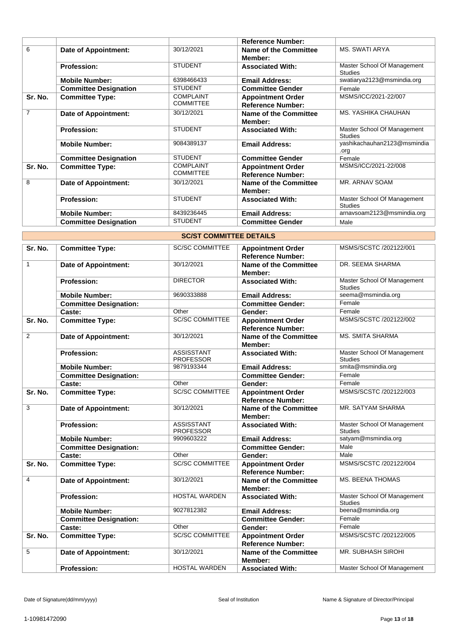|                |                              |                                      | <b>Reference Number:</b>                             |                                               |
|----------------|------------------------------|--------------------------------------|------------------------------------------------------|-----------------------------------------------|
| 6              | <b>Date of Appointment:</b>  | 30/12/2021                           | Name of the Committee<br>Member:                     | <b>MS. SWATI ARYA</b>                         |
|                | <b>Profession:</b>           | <b>STUDENT</b>                       | <b>Associated With:</b>                              | Master School Of Management<br><b>Studies</b> |
|                | <b>Mobile Number:</b>        | 6398466433                           | <b>Email Address:</b>                                | swatiarya2123@msmindia.org                    |
|                | <b>Committee Designation</b> | <b>STUDENT</b>                       | <b>Committee Gender</b>                              | Female                                        |
| Sr. No.        | <b>Committee Type:</b>       | <b>COMPLAINT</b><br><b>COMMITTEE</b> | <b>Appointment Order</b><br><b>Reference Number:</b> | MSMS/ICC/2021-22/007                          |
| $\overline{7}$ | Date of Appointment:         | 30/12/2021                           | Name of the Committee<br>Member:                     | MS. YASHIKA CHAUHAN                           |
|                | <b>Profession:</b>           | <b>STUDENT</b>                       | <b>Associated With:</b>                              | Master School Of Management<br><b>Studies</b> |
|                | <b>Mobile Number:</b>        | 9084389137                           | <b>Email Address:</b>                                | yashikachauhan2123@msmindia<br>.org           |
|                | <b>Committee Designation</b> | <b>STUDENT</b>                       | <b>Committee Gender</b>                              | Female                                        |
| Sr. No.        | <b>Committee Type:</b>       | <b>COMPLAINT</b><br><b>COMMITTEE</b> | <b>Appointment Order</b><br><b>Reference Number:</b> | MSMS/ICC/2021-22/008                          |
| 8              | Date of Appointment:         | 30/12/2021                           | <b>Name of the Committee</b><br>Member:              | MR. ARNAV SOAM                                |
|                | <b>Profession:</b>           | <b>STUDENT</b>                       | <b>Associated With:</b>                              | Master School Of Management<br><b>Studies</b> |
|                | <b>Mobile Number:</b>        | 8439236445                           | <b>Email Address:</b>                                | arnavsoam2123@msmindia.org                    |
|                | <b>Committee Designation</b> | <b>STUDENT</b>                       | <b>Committee Gender</b>                              | Male                                          |

|                | <b>SC/ST COMMITTEE DETAILS</b> |                                       |                                                      |                                               |  |
|----------------|--------------------------------|---------------------------------------|------------------------------------------------------|-----------------------------------------------|--|
| Sr. No.        | <b>Committee Type:</b>         | <b>SC/SC COMMITTEE</b>                | <b>Appointment Order</b><br><b>Reference Number:</b> | MSMS/SCSTC /202122/001                        |  |
| $\mathbf{1}$   | <b>Date of Appointment:</b>    | 30/12/2021                            | <b>Name of the Committee</b><br>Member:              | DR. SEEMA SHARMA                              |  |
|                | <b>Profession:</b>             | <b>DIRECTOR</b>                       | <b>Associated With:</b>                              | Master School Of Management<br><b>Studies</b> |  |
|                | <b>Mobile Number:</b>          | 9690333888                            | <b>Email Address:</b>                                | seema@msmindia.org                            |  |
|                | <b>Committee Designation:</b>  |                                       | <b>Committee Gender:</b>                             | Female                                        |  |
|                | Caste:                         | Other                                 | Gender:                                              | Female                                        |  |
| Sr. No.        | <b>Committee Type:</b>         | <b>SC/SC COMMITTEE</b>                | <b>Appointment Order</b><br><b>Reference Number:</b> | MSMS/SCSTC /202122/002                        |  |
| $\overline{2}$ | <b>Date of Appointment:</b>    | 30/12/2021                            | <b>Name of the Committee</b><br>Member:              | <b>MS. SMITA SHARMA</b>                       |  |
|                | <b>Profession:</b>             | <b>ASSISSTANT</b><br><b>PROFESSOR</b> | <b>Associated With:</b>                              | Master School Of Management<br><b>Studies</b> |  |
|                | <b>Mobile Number:</b>          | 9879193344                            | <b>Email Address:</b>                                | smita@msmindia.org                            |  |
|                | <b>Committee Designation:</b>  |                                       | <b>Committee Gender:</b>                             | Female                                        |  |
|                | Caste:                         | Other                                 | Gender:                                              | Female                                        |  |
| Sr. No.        | <b>Committee Type:</b>         | <b>SC/SC COMMITTEE</b>                | <b>Appointment Order</b><br><b>Reference Number:</b> | MSMS/SCSTC /202122/003                        |  |
| 3              | <b>Date of Appointment:</b>    | 30/12/2021                            | <b>Name of the Committee</b><br>Member:              | MR. SATYAM SHARMA                             |  |
|                | <b>Profession:</b>             | <b>ASSISSTANT</b><br><b>PROFESSOR</b> | <b>Associated With:</b>                              | Master School Of Management<br><b>Studies</b> |  |
|                | <b>Mobile Number:</b>          | 9909603222                            | <b>Email Address:</b>                                | satyam@msmindia.org                           |  |
|                | <b>Committee Designation:</b>  |                                       | <b>Committee Gender:</b>                             | Male                                          |  |
|                | Caste:                         | Other                                 | Gender:                                              | Male                                          |  |
| Sr. No.        | <b>Committee Type:</b>         | <b>SC/SC COMMITTEE</b>                | <b>Appointment Order</b><br><b>Reference Number:</b> | MSMS/SCSTC /202122/004                        |  |
| $\overline{4}$ | <b>Date of Appointment:</b>    | 30/12/2021                            | <b>Name of the Committee</b><br>Member:              | <b>MS. BEENA THOMAS</b>                       |  |
|                | <b>Profession:</b>             | <b>HOSTAL WARDEN</b>                  | <b>Associated With:</b>                              | Master School Of Management<br><b>Studies</b> |  |
|                | <b>Mobile Number:</b>          | 9027812382                            | <b>Email Address:</b>                                | beena@msmindia.org                            |  |
|                | <b>Committee Designation:</b>  |                                       | Committee Gender:                                    | Female                                        |  |
|                | Caste:                         | Other                                 | Gender:                                              | Female                                        |  |
| Sr. No.        | <b>Committee Type:</b>         | <b>SC/SC COMMITTEE</b>                | <b>Appointment Order</b><br><b>Reference Number:</b> | MSMS/SCSTC /202122/005                        |  |
| 5              | <b>Date of Appointment:</b>    | 30/12/2021                            | <b>Name of the Committee</b><br>Member:              | <b>MR. SUBHASH SIROHI</b>                     |  |
|                | <b>Profession:</b>             | <b>HOSTAL WARDEN</b>                  | <b>Associated With:</b>                              | Master School Of Management                   |  |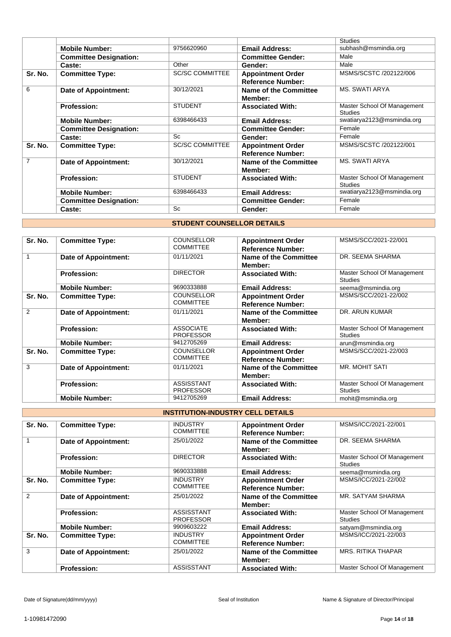|         |                               |                        |                                                      | <b>Studies</b>                                |
|---------|-------------------------------|------------------------|------------------------------------------------------|-----------------------------------------------|
|         | <b>Mobile Number:</b>         | 9756620960             | <b>Email Address:</b>                                | subhash@msmindia.org                          |
|         | <b>Committee Designation:</b> |                        | <b>Committee Gender:</b>                             | Male                                          |
|         | Caste:                        | Other                  | Gender:                                              | Male                                          |
| Sr. No. | <b>Committee Type:</b>        | <b>SC/SC COMMITTEE</b> | <b>Appointment Order</b><br><b>Reference Number:</b> | MSMS/SCSTC /202122/006                        |
| 6       | Date of Appointment:          | 30/12/2021             | <b>Name of the Committee</b><br>Member:              | <b>MS. SWATI ARYA</b>                         |
|         | <b>Profession:</b>            | <b>STUDENT</b>         | <b>Associated With:</b>                              | Master School Of Management<br><b>Studies</b> |
|         | <b>Mobile Number:</b>         | 6398466433             | <b>Email Address:</b>                                | swatiarya2123@msmindia.org                    |
|         | <b>Committee Designation:</b> |                        | <b>Committee Gender:</b>                             | Female                                        |
|         | Caste:                        | Sc                     | Gender:                                              | Female                                        |
| Sr. No. | <b>Committee Type:</b>        | <b>SC/SC COMMITTEE</b> | <b>Appointment Order</b><br><b>Reference Number:</b> | MSMS/SCSTC /202122/001                        |
| 7       | Date of Appointment:          | 30/12/2021             | Name of the Committee<br>Member:                     | <b>MS. SWATI ARYA</b>                         |
|         | <b>Profession:</b>            | <b>STUDENT</b>         | <b>Associated With:</b>                              | Master School Of Management<br><b>Studies</b> |
|         | <b>Mobile Number:</b>         | 6398466433             | <b>Email Address:</b>                                | swatiarya2123@msmindia.org                    |
|         | <b>Committee Designation:</b> |                        | <b>Committee Gender:</b>                             | Female                                        |
|         | Caste:                        | Sc                     | Gender:                                              | Female                                        |

## **STUDENT COUNSELLOR DETAILS**

| Sr. No. | <b>Committee Type:</b>      | <b>COUNSELLOR</b><br><b>COMMITTEE</b> | <b>Appointment Order</b><br><b>Reference Number:</b> | MSMS/SCC/2021-22/001                          |
|---------|-----------------------------|---------------------------------------|------------------------------------------------------|-----------------------------------------------|
| 1       | <b>Date of Appointment:</b> | 01/11/2021                            | Name of the Committee<br>Member:                     | DR. SEEMA SHARMA                              |
|         | <b>Profession:</b>          | <b>DIRECTOR</b>                       | <b>Associated With:</b>                              | Master School Of Management<br><b>Studies</b> |
|         | <b>Mobile Number:</b>       | 9690333888                            | <b>Email Address:</b>                                | seema@msmindia.org                            |
| Sr. No. | <b>Committee Type:</b>      | <b>COUNSELLOR</b><br><b>COMMITTEE</b> | <b>Appointment Order</b><br><b>Reference Number:</b> | MSMS/SCC/2021-22/002                          |
| 2       | Date of Appointment:        | 01/11/2021                            | Name of the Committee<br>Member:                     | DR. ARUN KUMAR                                |
|         | <b>Profession:</b>          | <b>ASSOCIATE</b><br><b>PROFESSOR</b>  | <b>Associated With:</b>                              | Master School Of Management<br><b>Studies</b> |
|         | <b>Mobile Number:</b>       | 9412705269                            | <b>Email Address:</b>                                | arun@msmindia.org                             |
| Sr. No. | <b>Committee Type:</b>      | <b>COUNSELLOR</b><br><b>COMMITTEE</b> | <b>Appointment Order</b><br><b>Reference Number:</b> | MSMS/SCC/2021-22/003                          |
| 3       | <b>Date of Appointment:</b> | 01/11/2021                            | Name of the Committee<br>Member:                     | <b>MR. MOHIT SATI</b>                         |
|         | <b>Profession:</b>          | <b>ASSISSTANT</b><br><b>PROFESSOR</b> | <b>Associated With:</b>                              | Master School Of Management<br><b>Studies</b> |
|         | <b>Mobile Number:</b>       | 9412705269                            | <b>Email Address:</b>                                | mohit@msmindia.org                            |

# **INSTITUTION-INDUSTRY CELL DETAILS**

| Sr. No. | <b>Committee Type:</b>      | <b>INDUSTRY</b><br><b>COMMITTEE</b>   | <b>Appointment Order</b><br><b>Reference Number:</b> | MSMS/ICC/2021-22/001                          |
|---------|-----------------------------|---------------------------------------|------------------------------------------------------|-----------------------------------------------|
|         | Date of Appointment:        | 25/01/2022                            | Name of the Committee<br>Member:                     | DR. SEEMA SHARMA                              |
|         | <b>Profession:</b>          | <b>DIRECTOR</b>                       | <b>Associated With:</b>                              | Master School Of Management<br><b>Studies</b> |
|         | <b>Mobile Number:</b>       | 9690333888                            | <b>Email Address:</b>                                | seema@msmindia.org                            |
| Sr. No. | <b>Committee Type:</b>      | <b>INDUSTRY</b><br><b>COMMITTEE</b>   | <b>Appointment Order</b><br><b>Reference Number:</b> | MSMS/ICC/2021-22/002                          |
| 2       | <b>Date of Appointment:</b> | 25/01/2022                            | Name of the Committee<br>Member:                     | MR. SATYAM SHARMA                             |
|         | <b>Profession:</b>          | <b>ASSISSTANT</b><br><b>PROFESSOR</b> | <b>Associated With:</b>                              | Master School Of Management<br><b>Studies</b> |
|         | <b>Mobile Number:</b>       | 9909603222                            | <b>Email Address:</b>                                | satyam@msmindia.org                           |
| Sr. No. | <b>Committee Type:</b>      | <b>INDUSTRY</b><br><b>COMMITTEE</b>   | <b>Appointment Order</b><br><b>Reference Number:</b> | MSMS/ICC/2021-22/003                          |
| 3       | Date of Appointment:        | 25/01/2022                            | Name of the Committee<br>Member:                     | <b>MRS. RITIKA THAPAR</b>                     |
|         | <b>Profession:</b>          | ASSISSTANT                            | <b>Associated With:</b>                              | Master School Of Management                   |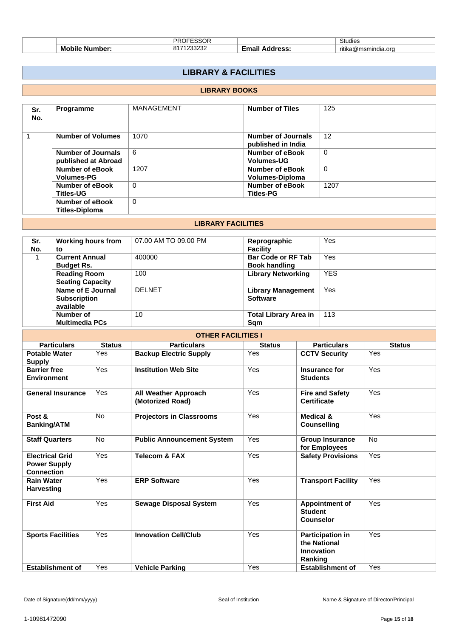|   | <b>DDAEECCAD</b><br>۱.<br>``    | <b>Studies</b>                   |
|---|---------------------------------|----------------------------------|
| M | nne<br>```<br>$\mathbf{C}$<br>. | <br>ı.ora<br>ritika<br>ພ<br>ו הי |

# **LIBRARY & FACILITIES**

# **LIBRARY BOOKS**

| Sr.<br>No. | <b>Programme</b>                            | <b>MANAGEMENT</b> | <b>Number of Tiles</b>                           | 125      |
|------------|---------------------------------------------|-------------------|--------------------------------------------------|----------|
|            | <b>Number of Volumes</b>                    | 1070              | Number of Journals<br>published in India         | 12       |
|            | Number of Journals<br>published at Abroad   | 6                 | Number of eBook<br><b>Volumes-UG</b>             | 0        |
|            | <b>Number of eBook</b><br><b>Volumes-PG</b> | 1207              | <b>Number of eBook</b><br><b>Volumes-Diploma</b> | $\Omega$ |
|            | Number of eBook<br><b>Titles-UG</b>         | $\Omega$          | Number of eBook<br><b>Titles-PG</b>              | 1207     |
|            | Number of eBook<br><b>Titles-Diploma</b>    | 0                 |                                                  |          |

#### **LIBRARY FACILITIES**

| Sr. | <b>Working hours from</b> | 07.00 AM TO 09.00 PM | Reprographic                 | Yes        |
|-----|---------------------------|----------------------|------------------------------|------------|
| No. | to                        |                      | <b>Facility</b>              |            |
|     | <b>Current Annual</b>     | 400000               | <b>Bar Code or RF Tab</b>    | Yes        |
|     | <b>Budget Rs.</b>         |                      | <b>Book handling</b>         |            |
|     | <b>Reading Room</b>       | 100                  | <b>Library Networking</b>    | <b>YES</b> |
|     | <b>Seating Capacity</b>   |                      |                              |            |
|     | Name of E Journal         | <b>DELNET</b>        | <b>Library Management</b>    | Yes        |
|     | <b>Subscription</b>       |                      | <b>Software</b>              |            |
|     | available                 |                      |                              |            |
|     | Number of                 | 10                   | <b>Total Library Area in</b> | 113        |
|     | <b>Multimedia PCs</b>     |                      | Sam                          |            |

| <b>OTHER FACILITIES I</b>                                          |               |                                                 |               |                                                                  |               |  |
|--------------------------------------------------------------------|---------------|-------------------------------------------------|---------------|------------------------------------------------------------------|---------------|--|
| <b>Particulars</b>                                                 | <b>Status</b> | <b>Particulars</b>                              | <b>Status</b> | <b>Particulars</b>                                               | <b>Status</b> |  |
| <b>Potable Water</b><br><b>Supply</b>                              | Yes           | <b>Backup Electric Supply</b>                   | Yes           | <b>CCTV Security</b>                                             | Yes           |  |
| <b>Barrier free</b><br><b>Environment</b>                          | Yes           | <b>Institution Web Site</b>                     | Yes           | Insurance for<br><b>Students</b>                                 | Yes           |  |
| <b>General Insurance</b>                                           | Yes           | <b>All Weather Approach</b><br>(Motorized Road) | Yes           | <b>Fire and Safety</b><br><b>Certificate</b>                     | Yes           |  |
| Post &<br><b>Banking/ATM</b>                                       | <b>No</b>     | <b>Projectors in Classrooms</b>                 | Yes           | <b>Medical &amp;</b><br><b>Counselling</b>                       | Yes           |  |
| <b>Staff Quarters</b>                                              | <b>No</b>     | <b>Public Announcement System</b>               | Yes           | <b>Group Insurance</b><br>for Employees                          | <b>No</b>     |  |
| <b>Electrical Grid</b><br><b>Power Supply</b><br><b>Connection</b> | Yes           | <b>Telecom &amp; FAX</b>                        | Yes           | <b>Safety Provisions</b>                                         | Yes           |  |
| <b>Rain Water</b><br><b>Harvesting</b>                             | Yes           | <b>ERP Software</b>                             | Yes           | <b>Transport Facility</b>                                        | Yes           |  |
| <b>First Aid</b>                                                   | Yes           | <b>Sewage Disposal System</b>                   | Yes           | <b>Appointment of</b><br><b>Student</b><br><b>Counselor</b>      | Yes           |  |
| <b>Sports Facilities</b>                                           | Yes           | <b>Innovation Cell/Club</b>                     | Yes           | <b>Participation in</b><br>the National<br>Innovation<br>Ranking | Yes           |  |
| <b>Establishment of</b>                                            | Yes           | <b>Vehicle Parking</b>                          | Yes           | <b>Establishment of</b>                                          | Yes           |  |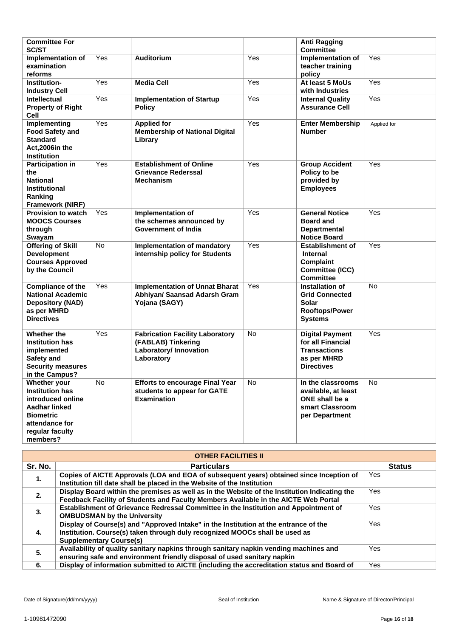| <b>Committee For</b><br><b>SC/ST</b>                                                                                                                            |           |                                                                                                      |     | <b>Anti Ragging</b><br><b>Committee</b>                                                                |             |
|-----------------------------------------------------------------------------------------------------------------------------------------------------------------|-----------|------------------------------------------------------------------------------------------------------|-----|--------------------------------------------------------------------------------------------------------|-------------|
| Implementation of<br>examination<br>reforms                                                                                                                     | Yes       | <b>Auditorium</b>                                                                                    | Yes | Implementation of<br>teacher training<br>policy                                                        | Yes         |
| Institution-<br><b>Industry Cell</b>                                                                                                                            | Yes       | <b>Media Cell</b>                                                                                    | Yes | At least 5 MoUs<br>with Industries                                                                     | Yes         |
| <b>Intellectual</b><br><b>Property of Right</b><br>Cell                                                                                                         | Yes       | <b>Implementation of Startup</b><br><b>Policy</b>                                                    | Yes | <b>Internal Quality</b><br><b>Assurance Cell</b>                                                       | Yes         |
| Implementing<br><b>Food Safety and</b><br><b>Standard</b><br>Act, 2006 in the<br><b>Institution</b>                                                             | Yes       | <b>Applied for</b><br><b>Membership of National Digital</b><br>Library                               | Yes | <b>Enter Membership</b><br><b>Number</b>                                                               | Applied for |
| <b>Participation in</b><br>the<br><b>National</b><br><b>Institutional</b><br>Ranking<br>Framework (NIRF)                                                        | Yes       | <b>Establishment of Online</b><br><b>Grievance Rederssal</b><br><b>Mechanism</b>                     | Yes | <b>Group Accident</b><br>Policy to be<br>provided by<br><b>Employees</b>                               | Yes         |
| <b>Provision to watch</b><br><b>MOOCS Courses</b><br>through<br>Swayam                                                                                          | Yes       | Implementation of<br>the schemes announced by<br><b>Government of India</b>                          | Yes | <b>General Notice</b><br><b>Board and</b><br><b>Departmental</b><br><b>Notice Board</b>                | Yes         |
| <b>Offering of Skill</b><br><b>Development</b><br><b>Courses Approved</b><br>by the Council                                                                     | <b>No</b> | Implementation of mandatory<br>internship policy for Students                                        | Yes | <b>Establishment of</b><br><b>Internal</b><br><b>Complaint</b><br>Committee (ICC)<br><b>Committee</b>  | Yes         |
| <b>Compliance of the</b><br><b>National Academic</b><br><b>Depository (NAD)</b><br>as per MHRD<br><b>Directives</b>                                             | Yes       | <b>Implementation of Unnat Bharat</b><br>Abhiyan/ Saansad Adarsh Gram<br>Yojana (SAGY)               | Yes | Installation of<br><b>Grid Connected</b><br>Solar<br><b>Rooftops/Power</b><br><b>Systems</b>           | No          |
| Whether the<br><b>Institution has</b><br>implemented<br>Safety and<br><b>Security measures</b><br>in the Campus?                                                | Yes       | <b>Fabrication Facility Laboratory</b><br>(FABLAB) Tinkering<br>Laboratory/ Innovation<br>Laboratory | No  | <b>Digital Payment</b><br>for all Financial<br><b>Transactions</b><br>as per MHRD<br><b>Directives</b> | Yes         |
| <b>Whether your</b><br><b>Institution has</b><br>introduced online<br><b>Aadhar linked</b><br><b>Biometric</b><br>attendance for<br>regular faculty<br>members? | No        | <b>Efforts to encourage Final Year</b><br>students to appear for GATE<br><b>Examination</b>          | No  | In the classrooms<br>available, at least<br>ONE shall be a<br>smart Classroom<br>per Department        | <b>No</b>   |

| <b>OTHER FACILITIES II</b> |                                                                                                                                                                    |               |  |  |
|----------------------------|--------------------------------------------------------------------------------------------------------------------------------------------------------------------|---------------|--|--|
| Sr. No.                    | <b>Particulars</b>                                                                                                                                                 | <b>Status</b> |  |  |
| 1.                         | Copies of AICTE Approvals (LOA and EOA of subsequent years) obtained since Inception of<br>Institution till date shall be placed in the Website of the Institution | Yes           |  |  |
| 2.                         | Display Board within the premises as well as in the Website of the Institution Indicating the                                                                      | Yes           |  |  |
|                            | Feedback Facility of Students and Faculty Members Available in the AICTE Web Portal                                                                                |               |  |  |
| 3.                         | Establishment of Grievance Redressal Committee in the Institution and Appointment of                                                                               | Yes           |  |  |
|                            | <b>OMBUDSMAN by the University</b>                                                                                                                                 |               |  |  |
|                            | Display of Course(s) and "Approved Intake" in the Institution at the entrance of the                                                                               | Yes           |  |  |
| 4.                         | Institution. Course(s) taken through duly recognized MOOCs shall be used as                                                                                        |               |  |  |
|                            | <b>Supplementary Course(s)</b>                                                                                                                                     |               |  |  |
| 5.                         | Availability of quality sanitary napkins through sanitary napkin vending machines and                                                                              | Yes           |  |  |
|                            | ensuring safe and environment friendly disposal of used sanitary napkin                                                                                            |               |  |  |
| 6.                         | Display of information submitted to AICTE (including the accreditation status and Board of                                                                         | Yes           |  |  |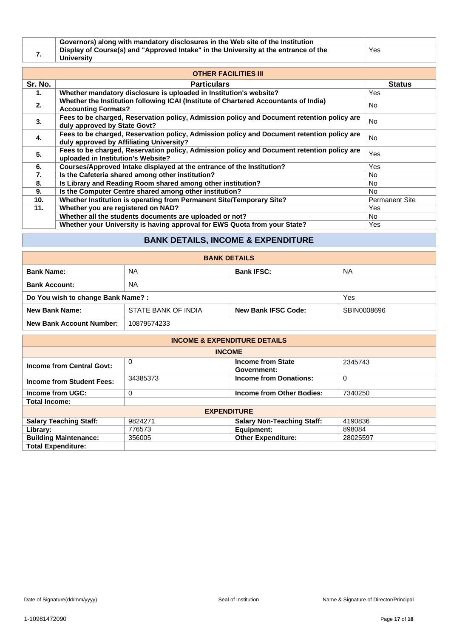|  | Governors) along with mandatory disclosures in the Web site of the Institution      |     |
|--|-------------------------------------------------------------------------------------|-----|
|  | Display of Course(s) and "Approved Intake" in the University at the entrance of the | Yes |
|  | <b>University</b>                                                                   |     |

| <b>OTHER FACILITIES III</b> |                                                                                                                                        |                       |  |  |
|-----------------------------|----------------------------------------------------------------------------------------------------------------------------------------|-----------------------|--|--|
| Sr. No.                     | <b>Particulars</b>                                                                                                                     | <b>Status</b>         |  |  |
| 1.                          | Whether mandatory disclosure is uploaded in Institution's website?                                                                     | Yes                   |  |  |
| 2.                          | Whether the Institution following ICAI (Institute of Chartered Accountants of India)<br><b>Accounting Formats?</b>                     | No.                   |  |  |
| 3.                          | Fees to be charged, Reservation policy, Admission policy and Document retention policy are<br>duly approved by State Govt?             | <b>No</b>             |  |  |
| 4.                          | Fees to be charged, Reservation policy, Admission policy and Document retention policy are<br>duly approved by Affiliating University? | <b>No</b>             |  |  |
| 5.                          | Fees to be charged, Reservation policy, Admission policy and Document retention policy are<br>uploaded in Institution's Website?       | Yes                   |  |  |
| 6.                          | Courses/Approved Intake displayed at the entrance of the Institution?                                                                  | Yes                   |  |  |
| 7.                          | Is the Cafeteria shared among other institution?                                                                                       | No.                   |  |  |
| 8.                          | Is Library and Reading Room shared among other institution?                                                                            | No.                   |  |  |
| 9.                          | Is the Computer Centre shared among other institution?                                                                                 | No.                   |  |  |
| 10.                         | Whether Institution is operating from Permanent Site/Temporary Site?                                                                   | <b>Permanent Site</b> |  |  |
| 11.                         | Whether you are registered on NAD?                                                                                                     | Yes                   |  |  |
|                             | Whether all the students documents are uploaded or not?                                                                                | No.                   |  |  |
|                             | Whether your University is having approval for EWS Quota from your State?                                                              | Yes                   |  |  |

# **BANK DETAILS, INCOME & EXPENDITURE**

| <b>BANK DETAILS</b>                                                                       |           |                   |           |  |  |  |
|-------------------------------------------------------------------------------------------|-----------|-------------------|-----------|--|--|--|
| <b>Bank Name:</b>                                                                         | NA        | <b>Bank IFSC:</b> | <b>NA</b> |  |  |  |
| <b>Bank Account:</b>                                                                      | <b>NA</b> |                   |           |  |  |  |
| Do You wish to change Bank Name?:                                                         |           |                   | Yes       |  |  |  |
| <b>New Bank Name:</b><br>STATE BANK OF INDIA<br><b>New Bank IFSC Code:</b><br>SBIN0008696 |           |                   |           |  |  |  |
| 10879574233<br><b>New Bank Account Number:</b>                                            |           |                   |           |  |  |  |

| <b>INCOME &amp; EXPENDITURE DETAILS</b>                                                     |          |                                   |          |  |  |
|---------------------------------------------------------------------------------------------|----------|-----------------------------------|----------|--|--|
|                                                                                             |          | <b>INCOME</b>                     |          |  |  |
| 0<br><b>Income from State</b><br>2345743<br><b>Income from Central Govt:</b><br>Government: |          |                                   |          |  |  |
| <b>Income from Student Fees:</b>                                                            | 34385373 | <b>Income from Donations:</b>     | 0        |  |  |
| Income from UGC:                                                                            | $\Omega$ | Income from Other Bodies:         | 7340250  |  |  |
| <b>Total Income:</b>                                                                        |          |                                   |          |  |  |
|                                                                                             |          | <b>EXPENDITURE</b>                |          |  |  |
| <b>Salary Teaching Staff:</b>                                                               | 9824271  | <b>Salary Non-Teaching Staff:</b> | 4190836  |  |  |
| Library:                                                                                    | 776573   | Equipment:                        | 898084   |  |  |
| <b>Building Maintenance:</b>                                                                | 356005   | <b>Other Expenditure:</b>         | 28025597 |  |  |
| <b>Total Expenditure:</b>                                                                   |          |                                   |          |  |  |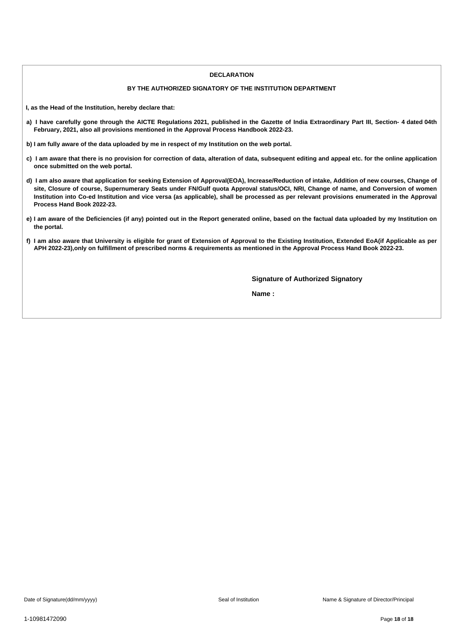#### **DECLARATION**

#### **BY THE AUTHORIZED SIGNATORY OF THE INSTITUTION DEPARTMENT**

**I, as the Head of the Institution, hereby declare that:**

- a) I have carefully gone through the AICTE Regulations 2021, published in the Gazette of India Extraordinary Part III, Section- 4 dated 04th **February, 2021, also all provisions mentioned in the Approval Process Handbook 2022-23.**
- b) I am fully aware of the data uploaded by me in respect of my Institution on the web portal.
- c) I am aware that there is no provision for correction of data, alteration of data, subsequent editing and appeal etc. for the online application **once submitted on the web portal.**
- d) I am also aware that application for seeking Extension of Approval(EOA), Increase/Reduction of intake, Addition of new courses, Change of site, Closure of course, Supernumerary Seats under FN/Gulf quota Approval status/OCI, NRI, Change of name, and Conversion of women Institution into Co-ed Institution and vice versa (as applicable), shall be processed as per relevant provisions enumerated in the Approval **Process Hand Book 2022-23.**
- e) I am aware of the Deficiencies (if any) pointed out in the Report generated online, based on the factual data uploaded by my Institution on **the portal.**
- f) I am also aware that University is eligible for grant of Extension of Approval to the Existing Institution, Extended EoA(if Applicable as per APH 2022-23), only on fulfillment of prescribed norms & requirements as mentioned in the Approval Process Hand Book 2022-23.

**Signature of Authorized Signatory**

**Name :**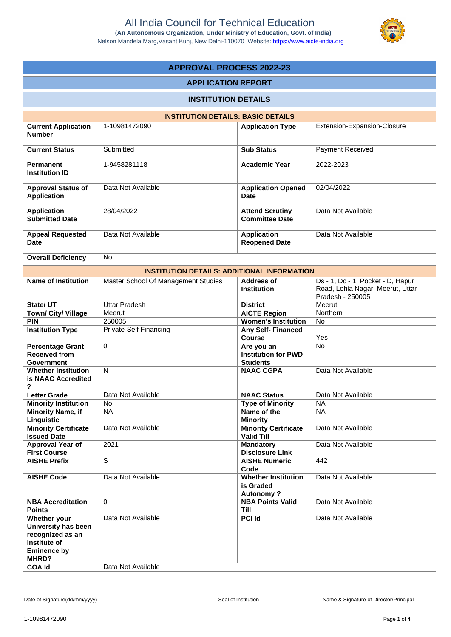

# **APPROVAL PROCESS 2022-23**

### **APPLICATION REPORT**

# **INSTITUTION DETAILS**

| <b>INSTITUTION DETAILS: BASIC DETAILS</b>       |                    |                                                 |                             |  |  |  |
|-------------------------------------------------|--------------------|-------------------------------------------------|-----------------------------|--|--|--|
| <b>Current Application</b><br><b>Number</b>     | 1-10981472090      | <b>Application Type</b>                         | Extension-Expansion-Closure |  |  |  |
| <b>Current Status</b>                           | Submitted          | <b>Sub Status</b>                               | <b>Payment Received</b>     |  |  |  |
| <b>Permanent</b><br><b>Institution ID</b>       | 1-9458281118       | <b>Academic Year</b>                            | 2022-2023                   |  |  |  |
| <b>Approval Status of</b><br><b>Application</b> | Data Not Available | <b>Application Opened</b><br>Date               | 02/04/2022                  |  |  |  |
| <b>Application</b><br><b>Submitted Date</b>     | 28/04/2022         | <b>Attend Scrutiny</b><br><b>Committee Date</b> | Data Not Available          |  |  |  |
| <b>Appeal Requested</b><br><b>Date</b>          | Data Not Available | <b>Application</b><br><b>Reopened Date</b>      | Data Not Available          |  |  |  |
| <b>Overall Deficiency</b>                       | No.                |                                                 |                             |  |  |  |

|                                                                                                                         | <b>INSTITUTION DETAILS: ADDITIONAL INFORMATION</b> |                                                             |                                                                                           |
|-------------------------------------------------------------------------------------------------------------------------|----------------------------------------------------|-------------------------------------------------------------|-------------------------------------------------------------------------------------------|
| <b>Name of Institution</b>                                                                                              | Master School Of Management Studies                | Address of<br><b>Institution</b>                            | Ds - 1, Dc - 1, Pocket - D, Hapur<br>Road, Lohia Nagar, Meerut, Uttar<br>Pradesh - 250005 |
| State/ UT                                                                                                               | <b>Uttar Pradesh</b>                               | <b>District</b>                                             | Meerut                                                                                    |
| Town/ City/ Village                                                                                                     | Meerut                                             | <b>AICTE Region</b>                                         | Northern                                                                                  |
| <b>PIN</b>                                                                                                              | 250005                                             | <b>Women's Institution</b>                                  | <b>No</b>                                                                                 |
| <b>Institution Type</b>                                                                                                 | <b>Private-Self Financing</b>                      | <b>Any Self- Financed</b><br><b>Course</b>                  | Yes                                                                                       |
| <b>Percentage Grant</b><br><b>Received from</b><br><b>Government</b>                                                    | $\mathbf 0$                                        | Are you an<br><b>Institution for PWD</b><br><b>Students</b> | No                                                                                        |
| <b>Whether Institution</b><br>is NAAC Accredited<br>?                                                                   | N                                                  | <b>NAAC CGPA</b>                                            | Data Not Available                                                                        |
| <b>Letter Grade</b>                                                                                                     | Data Not Available                                 | <b>NAAC Status</b>                                          | Data Not Available                                                                        |
| <b>Minority Institution</b>                                                                                             | No                                                 | <b>Type of Minority</b>                                     | <b>NA</b>                                                                                 |
| <b>Minority Name, if</b><br>Linguistic                                                                                  | <b>NA</b>                                          | Name of the<br><b>Minority</b>                              | <b>NA</b>                                                                                 |
| <b>Minority Certificate</b><br><b>Issued Date</b>                                                                       | Data Not Available                                 | <b>Minority Certificate</b><br><b>Valid Till</b>            | Data Not Available                                                                        |
| <b>Approval Year of</b><br><b>First Course</b>                                                                          | 2021                                               | <b>Mandatory</b><br><b>Disclosure Link</b>                  | Data Not Available                                                                        |
| <b>AISHE Prefix</b>                                                                                                     | $\overline{s}$                                     | <b>AISHE Numeric</b><br>Code                                | 442                                                                                       |
| <b>AISHE Code</b>                                                                                                       | Data Not Available                                 | <b>Whether Institution</b><br>is Graded<br><b>Autonomy?</b> | Data Not Available                                                                        |
| <b>NBA Accreditation</b><br><b>Points</b>                                                                               | $\Omega$                                           | <b>NBA Points Valid</b><br><b>Till</b>                      | Data Not Available                                                                        |
| Whether your<br>University has been<br>recognized as an<br>Institute of<br><b>Eminence by</b><br>MHRD?<br><b>COA Id</b> | Data Not Available<br>Data Not Available           | <b>PCI Id</b>                                               | Data Not Available                                                                        |
|                                                                                                                         |                                                    |                                                             |                                                                                           |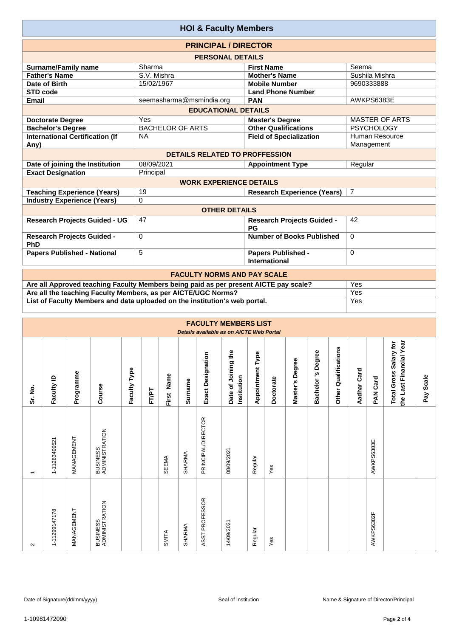| <b>HOI &amp; Faculty Members</b>               |                                       |                                                   |                              |  |  |  |  |  |  |  |  |  |  |
|------------------------------------------------|---------------------------------------|---------------------------------------------------|------------------------------|--|--|--|--|--|--|--|--|--|--|
| <b>PRINCIPAL / DIRECTOR</b>                    |                                       |                                                   |                              |  |  |  |  |  |  |  |  |  |  |
| <b>PERSONAL DETAILS</b>                        |                                       |                                                   |                              |  |  |  |  |  |  |  |  |  |  |
| <b>Surname/Family name</b>                     | Sharma                                | <b>First Name</b>                                 | Seema                        |  |  |  |  |  |  |  |  |  |  |
| <b>Father's Name</b>                           | S.V. Mishra                           | <b>Mother's Name</b>                              | Sushila Mishra               |  |  |  |  |  |  |  |  |  |  |
| Date of Birth                                  | 15/02/1967                            | <b>Mobile Number</b>                              | 9690333888                   |  |  |  |  |  |  |  |  |  |  |
| <b>STD code</b>                                |                                       | <b>Land Phone Number</b>                          |                              |  |  |  |  |  |  |  |  |  |  |
| <b>Email</b>                                   | seemasharma@msmindia.org              | <b>PAN</b>                                        | AWKPS6383E                   |  |  |  |  |  |  |  |  |  |  |
| <b>EDUCATIONAL DETAILS</b>                     |                                       |                                                   |                              |  |  |  |  |  |  |  |  |  |  |
| <b>Doctorate Degree</b>                        | Yes                                   | <b>Master's Degree</b>                            | <b>MASTER OF ARTS</b>        |  |  |  |  |  |  |  |  |  |  |
| <b>Bachelor's Degree</b>                       | <b>BACHELOR OF ARTS</b>               | <b>PSYCHOLOGY</b>                                 |                              |  |  |  |  |  |  |  |  |  |  |
| <b>International Certification (If</b><br>Any) | <b>NA</b>                             | <b>Field of Specialization</b>                    | Human Resource<br>Management |  |  |  |  |  |  |  |  |  |  |
|                                                | <b>DETAILS RELATED TO PROFFESSION</b> |                                                   |                              |  |  |  |  |  |  |  |  |  |  |
| Date of joining the Institution                | 08/09/2021                            | <b>Appointment Type</b>                           | Regular                      |  |  |  |  |  |  |  |  |  |  |
| <b>Exact Designation</b>                       | Principal                             |                                                   |                              |  |  |  |  |  |  |  |  |  |  |
|                                                | <b>WORK EXPERIENCE DETAILS</b>        |                                                   |                              |  |  |  |  |  |  |  |  |  |  |
| <b>Teaching Experience (Years)</b>             | 19                                    | <b>Research Experience (Years)</b>                | $\overline{7}$               |  |  |  |  |  |  |  |  |  |  |
| <b>Industry Experience (Years)</b>             | 0                                     |                                                   |                              |  |  |  |  |  |  |  |  |  |  |
|                                                | <b>OTHER DETAILS</b>                  |                                                   |                              |  |  |  |  |  |  |  |  |  |  |
| <b>Research Projects Guided - UG</b>           | 47                                    | <b>Research Projects Guided -</b><br>PG           | 42                           |  |  |  |  |  |  |  |  |  |  |
| <b>Research Projects Guided -</b><br>PhD       | $\Omega$                              | <b>Number of Books Published</b>                  | $\Omega$                     |  |  |  |  |  |  |  |  |  |  |
| <b>Papers Published - National</b>             | 5                                     | <b>Papers Published -</b><br><b>International</b> | $\Omega$                     |  |  |  |  |  |  |  |  |  |  |
| <b>FACULTY NORMS AND PAY SCALE</b>             |                                       |                                                   |                              |  |  |  |  |  |  |  |  |  |  |

| <b>FACULTY NORMS AND PAY SCALE</b>                                                   |     |  |  |  |  |  |  |  |  |
|--------------------------------------------------------------------------------------|-----|--|--|--|--|--|--|--|--|
| Are all Approved teaching Faculty Members being paid as per present AICTE pay scale? | Yes |  |  |  |  |  |  |  |  |
| Are all the teaching Faculty Members, as per AICTE/UGC Norms?                        | Yes |  |  |  |  |  |  |  |  |
| List of Faculty Members and data uploaded on the institution's web portal.           | Yes |  |  |  |  |  |  |  |  |
|                                                                                      |     |  |  |  |  |  |  |  |  |

| <b>FACULTY MEMBERS LIST</b><br>Details available as on AICTE Web Portal |               |            |                            |                 |              |            |         |                    |                                    |                         |           |                    |                      |                         |             |                 |                                                   |                     |
|-------------------------------------------------------------------------|---------------|------------|----------------------------|-----------------|--------------|------------|---------|--------------------|------------------------------------|-------------------------|-----------|--------------------|----------------------|-------------------------|-------------|-----------------|---------------------------------------------------|---------------------|
| Sr. No.                                                                 | Faculty ID    | Programme  | Course                     | Type<br>Faculty | <b>FT/PT</b> | First Name | Surname | Exact Designation  | Date of Joining the<br>Institution | <b>Appointment Type</b> | Doctorate | Degree<br>Master's | Degree<br>Bachelor's | Qualifications<br>Other | Aadhar Card | <b>PAN Card</b> | the Last Financial Year<br>Total Gross Salary for | <b>Scale</b><br>Pay |
| $\overline{\phantom{0}}$                                                | 1-11283499521 | MANAGEMENT | BUSINESS<br>ADMINISTRATION |                 |              | SEEMA      | SHARMA  | PRINCIPAL/DIRECTOR | 08/09/2021                         | Regular                 | Yes       |                    |                      |                         |             | AWKPS6383E      |                                                   |                     |
| $\sim$                                                                  | 1-11299147178 | MANAGEMENT | BUSINESS<br>ADMINISTRATION |                 |              | SMITA      | SHARMA  | ASST PROFESSOR     | 14/09/2021                         | Regular                 | Yes       |                    |                      |                         |             | AWKPS6382F      |                                                   |                     |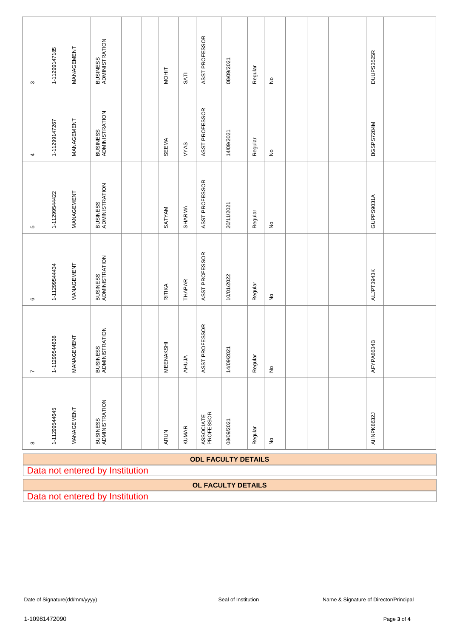| $\infty$                        | 1-11299147185 | MANAGEMENT | BUSINESS<br>ADMINISTRATION |  |  | <b>MOHIT</b>       | SATI          | ASST PROFESSOR         | 08/09/2021                 | Regular | $\stackrel{\circ}{\succeq}$ |  |  |  |  | DUUPS3525R |  |  |
|---------------------------------|---------------|------------|----------------------------|--|--|--------------------|---------------|------------------------|----------------------------|---------|-----------------------------|--|--|--|--|------------|--|--|
| 4                               | 1-11299147267 | MANAGEMENT | BUSINESS<br>ADMINISTRATION |  |  | SEEMA              | VYAS          | ASST PROFESSOR         | 14/09/2021                 | Regular | $\stackrel{\mathtt{o}}{z}$  |  |  |  |  | BGSPS7284M |  |  |
| $\mathbf{\Omega}$               | 1-11299544422 | MANAGEMENT | BUSINESS<br>ADMINISTRATION |  |  | SATYAM             | SHARMA        | ASST PROFESSOR         | 20/11/2021                 | Regular | $\stackrel{\mathtt{o}}{z}$  |  |  |  |  | GUPPS9031A |  |  |
| $\mathbf{\circ}$                | 1-11299544434 | MANAGEMENT | BUSINESS<br>ADMINISTRATION |  |  | RITIKA             | <b>THAPAR</b> | ASST PROFESSOR         | 10/01/2022                 | Regular | $\stackrel{\mathtt{o}}{z}$  |  |  |  |  | ALJPT3943K |  |  |
| $\overline{\phantom{a}}$        | 1-11299544638 | MANAGEMENT | BUSINESS<br>ADMINISTRATION |  |  | MEENAKSHI          | AHUJA         | ASST PROFESSOR         | 14/09/2021                 | Regular | $\stackrel{\mathtt{o}}{z}$  |  |  |  |  | AFYPA8634B |  |  |
| $\infty$                        | 1-11299544645 | MANAGEMENT | BUSINESS<br>ADMINISTRATION |  |  | ARUN               | <b>KUMAR</b>  | ASSOCIATE<br>PROFESSOR | 08/09/2021                 | Regular | $\stackrel{\circ}{\simeq}$  |  |  |  |  | AHNPK8632J |  |  |
|                                 |               |            |                            |  |  |                    |               |                        | <b>ODL FACULTY DETAILS</b> |         |                             |  |  |  |  |            |  |  |
| Data not entered by Institution |               |            |                            |  |  |                    |               |                        |                            |         |                             |  |  |  |  |            |  |  |
|                                 |               |            |                            |  |  | OL FACULTY DETAILS |               |                        |                            |         |                             |  |  |  |  |            |  |  |

Data not entered by Institution